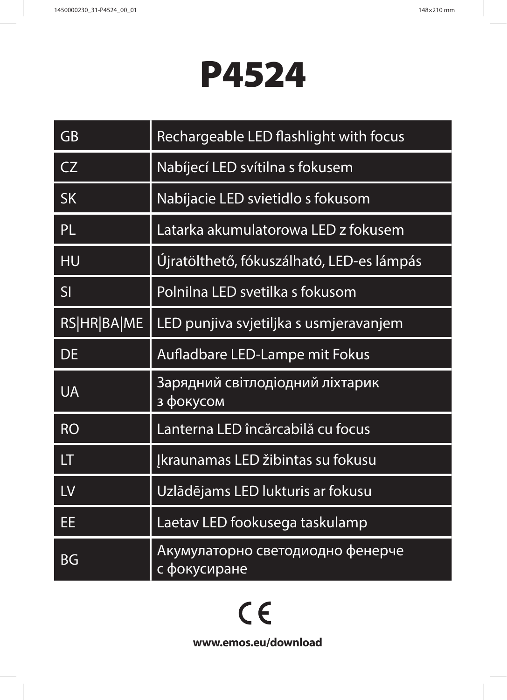# P4524

| <b>GB</b>   | Rechargeable LED flashlight with focus           |
|-------------|--------------------------------------------------|
| CZ          | Nabíjecí LED svítilna s fokusem                  |
| <b>SK</b>   | Nabíjacie LED svietidlo s fokusom                |
| <b>PL</b>   | Latarka akumulatorowa LED z fokusem              |
| HU          | Újratölthető, fókuszálható, LED-es lámpás        |
| SI          | Polnilna LED svetilka s fokusom                  |
| RS HR BA ME | LED punjiva svjetiljka s usmjeravanjem           |
| <b>DE</b>   | Aufladbare LED-Lampe mit Fokus                   |
| <b>UA</b>   | Зарядний світлодіодний ліхтарик<br>з фокусом     |
| <b>RO</b>   | Lanterna LED încărcabilă cu focus                |
| LT          | Įkraunamas LED žibintas su fokusu                |
| LV          | Uzlādējams LED lukturis ar fokusu                |
| <b>EE</b>   | Laetav LED fookusega taskulamp                   |
| BG          | Акумулаторно светодиодно фенерче<br>с фокусиране |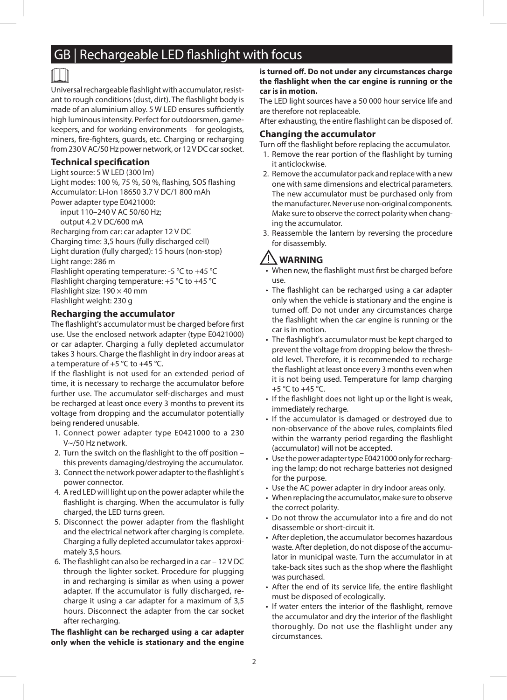### Rechargeable LED flashlight with focus



Universal rechargeable flashlight with accumulator, resistant to rough conditions (dust, dirt). The flashlight body is made of an aluminium alloy. 5 W LED ensures sufficiently high luminous intensity. Perfect for outdoorsmen, gamekeepers, and for working environments – for geologists, miners, fire-fighters, guards, etc. Charging or recharging from 230 V AC/50 Hz power network, or 12 V DC car socket.

### **Technical specification**

Light source: 5 W LED (300 lm)

Light modes: 100 %, 75 %, 50 %, flashing, SOS flashing Accumulator: Li-Ion 18650 3.7 V DC/1 800 mAh

Power adapter type E0421000:

input 110–240 V AC 50/60 Hz;

output 4.2 V DC/600 mA

Recharging from car: car adapter 12 V DC Charging time: 3,5 hours (fully discharged cell)

Light duration (fully charged): 15 hours (non-stop) Light range: 286 m

Flashlight operating temperature: -5 °C to +45 °C Flashlight charging temperature: +5 °C to +45 °C Flashlight size:  $190 \times 40$  mm Flashlight weight: 230 g

### **Recharging the accumulator**

The flashlight's accumulator must be charged before first use. Use the enclosed network adapter (type E0421000) or car adapter. Charging a fully depleted accumulator takes 3 hours. Charge the flashlight in dry indoor areas at a temperature of +5 °C to +45 °C.

If the flashlight is not used for an extended period of time, it is necessary to recharge the accumulator before further use. The accumulator self-discharges and must be recharged at least once every 3 months to prevent its voltage from dropping and the accumulator potentially being rendered unusable.

- 1. Connect power adapter type E0421000 to a 230 V~/50 Hz network.
- 2. Turn the switch on the flashlight to the off position this prevents damaging/destroying the accumulator.
- 3. Connect the network power adapter to the flashlight's power connector.
- 4. A red LED will light up on the power adapter while the flashlight is charging. When the accumulator is fully charged, the LED turns green.
- 5. Disconnect the power adapter from the flashlight and the electrical network after charging is complete. Charging a fully depleted accumulator takes approximately 3,5 hours.
- 6. The flashlight can also be recharged in a car 12 V DC through the lighter socket. Procedure for plugging in and recharging is similar as when using a power adapter. If the accumulator is fully discharged, recharge it using a car adapter for a maximum of 3,5 hours. Disconnect the adapter from the car socket after recharging.

**The flashlight can be recharged using a car adapter only when the vehicle is stationary and the engine**  **is turned off. Do not under any circumstances charge the flashlight when the car engine is running or the car is in motion.**

The LED light sources have a 50 000 hour service life and are therefore not replaceable.

After exhausting, the entire flashlight can be disposed of.

### **Changing the accumulator**

Turn off the flashlight before replacing the accumulator.

- 1. Remove the rear portion of the flashlight by turning it anticlockwise.
- 2. Remove the accumulator pack and replace with a new one with same dimensions and electrical parameters. The new accumulator must be purchased only from the manufacturer. Never use non-original components. Make sure to observe the correct polarity when changing the accumulator.
- 3. Reassemble the lantern by reversing the procedure for disassembly.

### **WARNING**

- When new, the flashlight must first be charged before use.
- The flashlight can be recharged using a car adapter only when the vehicle is stationary and the engine is turned off. Do not under any circumstances charge the flashlight when the car engine is running or the car is in motion.
- The flashlight's accumulator must be kept charged to prevent the voltage from dropping below the threshold level. Therefore, it is recommended to recharge the flashlight at least once every 3 months even when it is not being used. Temperature for lamp charging +5 °C to +45 °C.
- If the flashlight does not light up or the light is weak, immediately recharge.
- If the accumulator is damaged or destroyed due to non-observance of the above rules, complaints filed within the warranty period regarding the flashlight (accumulator) will not be accepted.
- Use the power adapter type E0421000 only for recharging the lamp; do not recharge batteries not designed for the purpose.
- Use the AC power adapter in dry indoor areas only.
- When replacing the accumulator, make sure to observe the correct polarity.
- Do not throw the accumulator into a fire and do not disassemble or short-circuit it.
- After depletion, the accumulator becomes hazardous waste. After depletion, do not dispose of the accumulator in municipal waste. Turn the accumulator in at take-back sites such as the shop where the flashlight was purchased.
- After the end of its service life, the entire flashlight must be disposed of ecologically.
- If water enters the interior of the flashlight, remove the accumulator and dry the interior of the flashlight thoroughly. Do not use the flashlight under any circumstances.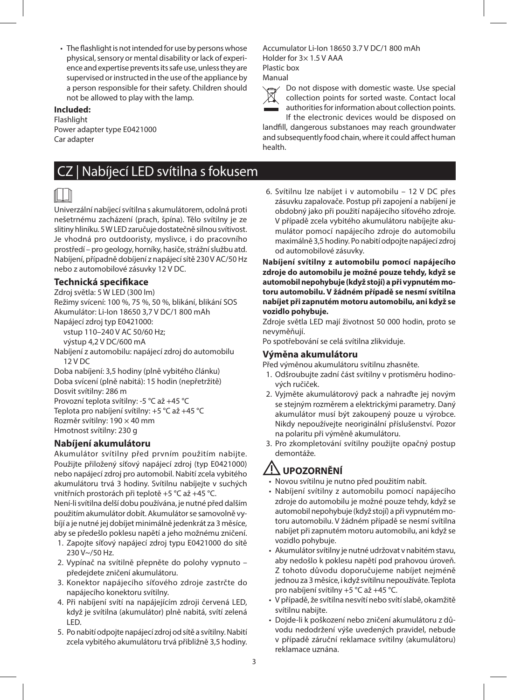• The flashlight is not intended for use by persons whose physical, sensory or mental disability or lack of experience and expertise prevents its safe use, unless they are supervised or instructed in the use of the appliance by a person responsible for their safety. Children should not be allowed to play with the lamp.

#### **Included:**

Flashlight Power adapter type E0421000 Car adapter

## Nabíjecí LED svítilna s fokusem



Univerzální nabíjecí svítilna s akumulátorem, odolná proti nešetrnému zacházení (prach, špína). Tělo svítilny je ze slitiny hliníku. 5 W LED zaručuje dostatečně silnou svítivost. Je vhodná pro outdooristy, myslivce, i do pracovního prostředí – pro geology, horníky, hasiče, strážní službu atd. Nabíjení, případně dobíjení z napájecí sítě 230 V AC/50 Hz nebo z automobilové zásuvky 12 V DC.

### **Technická specifikace**

Zdroj světla: 5 W LED (300 lm)

Režimy svícení: 100 %, 75 %, 50 %, blikání, blikání SOS Akumulátor: Li-Ion 18650 3,7 V DC/1 800 mAh

Napájecí zdroj typ E0421000:

vstup 110–240 V AC 50/60 Hz;

výstup 4,2 V DC/600 mA

Nabíjení z automobilu: napájecí zdroj do automobilu 12 V DC

Doba nabíjení: 3,5 hodiny (plně vybitého článku) Doba svícení (plně nabitá): 15 hodin (nepřetržitě) Dosvit svítilny: 286 m

Provozní teplota svítilny: -5 °C až +45 °C

Teplota pro nabíjení svítilny: +5 °C až +45 °C Rozměr svítilny: 190 × 40 mm

Hmotnost svítilny: 230 g

### **Nabíjení akumulátoru**

Akumulátor svítilny před prvním použitím nabijte. Použijte přiložený síťový napájecí zdroj (typ E0421000) nebo napájecí zdroj pro automobil. Nabití zcela vybitého akumulátoru trvá 3 hodiny. Svítilnu nabíjejte v suchých vnitřních prostorách při teplotě +5 °C až +45 °C.

Není-li svítilna delší dobu používána, je nutné před dalším použitím akumulátor dobít. Akumulátor se samovolně vybíjí a je nutné jej dobíjet minimálně jedenkrát za 3 měsíce, aby se předešlo poklesu napětí a jeho možnému zničení.

- 1. Zapojte síťový napájecí zdroj typu E0421000 do sítě 230 V~/50 Hz.
- 2. Vypínač na svítilně přepněte do polohy vypnuto předejdete zničení akumulátoru.
- 3. Konektor napájecího síťového zdroje zastrčte do napájecího konektoru svítilny.
- 4. Při nabíjení svítí na napájejícím zdroji červená LED, když je svítilna (akumulátor) plně nabitá, svítí zelená LED.
- 5. Po nabití odpojte napájecí zdroj od sítě a svítilny. Nabití zcela vybitého akumulátoru trvá přibližně 3,5 hodiny.

Accumulator Li-Ion 18650 3.7 V DC/1 800 mAh Holder for  $3\times$  1.5 V AAA Plastic box Manual

Do not dispose with domestic waste. Use special collection points for sorted waste. Contact local authorities for information about collection points.

If the electronic devices would be disposed on landfill, dangerous substanoes may reach groundwater and subsequently food chain, where it could affect human health.

6. Svítilnu lze nabíjet i v automobilu – 12 V DC přes zásuvku zapalovače. Postup při zapojení a nabíjení je obdobný jako při použití napájecího síťového zdroje. V případě zcela vybitého akumulátoru nabíjejte akumulátor pomocí napájecího zdroje do automobilu maximálně 3,5 hodiny. Po nabití odpojte napájecí zdroj od automobilové zásuvky.

**Nabíjení svítilny z automobilu pomocí napájecího zdroje do automobilu je možné pouze tehdy, když se automobil nepohybuje (když stojí) a při vypnutém motoru automobilu. V žádném případě se nesmí svítilna nabíjet při zapnutém motoru automobilu, ani když se vozidlo pohybuje.**

Zdroje světla LED mají životnost 50 000 hodin, proto se nevyměňují.

Po spotřebování se celá svítilna zlikviduje.

### **Výměna akumulátoru**

Před výměnou akumulátoru svítilnu zhasněte.

- 1. Odšroubujte zadní část svítilny v protisměru hodinových ručiček.
- 2. Vyjměte akumulátorový pack a nahraďte jej novým se stejným rozměrem a elektrickými parametry. Daný akumulátor musí být zakoupený pouze u výrobce. Nikdy nepoužívejte neoriginální příslušenství. Pozor na polaritu při výměně akumulátoru.
- 3. Pro zkompletování svítilny použijte opačný postup demontáže.

#### /l\  **UPOZORNĚNÍ**

- Novou svítilnu je nutno před použitím nabít.
- Nabíjení svítilny z automobilu pomocí napájecího zdroje do automobilu je možné pouze tehdy, když se automobil nepohybuje (když stojí) a při vypnutém motoru automobilu. V žádném případě se nesmí svítilna nabíjet při zapnutém motoru automobilu, ani když se vozidlo pohybuje.
- Akumulátor svítilny je nutné udržovat v nabitém stavu, aby nedošlo k poklesu napětí pod prahovou úroveň. Z tohoto důvodu doporučujeme nabíjet nejméně jednou za 3 měsíce, i když svítilnu nepoužíváte. Teplota pro nabíjení svítilny +5 °C až +45 °C.
- V případě, že svítilna nesvítí nebo svítí slabě, okamžitě svítilnu nabijte.
- Dojde-li k poškození nebo zničení akumulátoru z důvodu nedodržení výše uvedených pravidel, nebude v případě záruční reklamace svítilny (akumulátoru) reklamace uznána.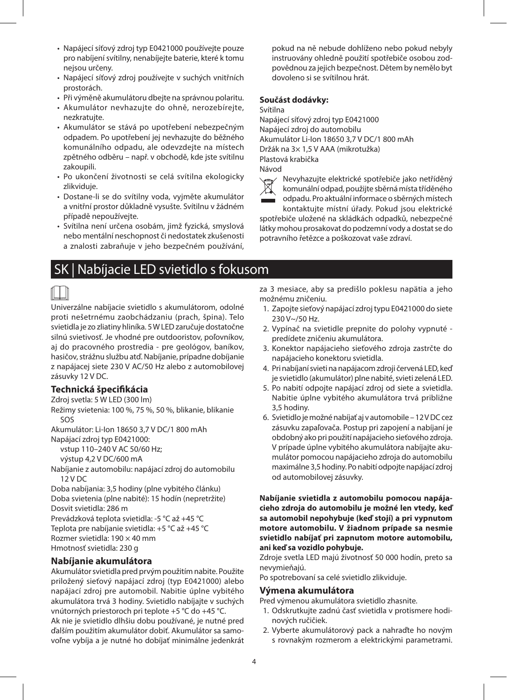- Napájecí síťový zdroj typ E0421000 používejte pouze pro nabíjení svítilny, nenabíjejte baterie, které k tomu nejsou určeny.
- Napájecí síťový zdroj používejte v suchých vnitřních prostorách.
- Při výměně akumulátoru dbejte na správnou polaritu.
- Akumulátor nevhazujte do ohně, nerozebírejte, nezkratujte.
- Akumulátor se stává po upotřebení nebezpečným odpadem. Po upotřebení jej nevhazujte do běžného komunálního odpadu, ale odevzdejte na místech zpětného odběru – např. v obchodě, kde jste svítilnu zakoupili.
- Po ukončení životnosti se celá svítilna ekologicky zlikviduje.
- Dostane-li se do svítilny voda, vyjměte akumulátor a vnitřní prostor důkladně vysušte. Svítilnu v žádném případě nepoužívejte.
- Svítilna není určena osobám, jimž fyzická, smyslová nebo mentální neschopnost či nedostatek zkušenosti a znalosti zabraňuje v jeho bezpečném používání,

pokud na ně nebude dohlíženo nebo pokud nebyly instruovány ohledně použití spotřebiče osobou zodpovědnou za jejich bezpečnost. Dětem by nemělo byt dovoleno si se svítilnou hrát.

#### **Součást dodávky:**

#### Svítilna

Napájecí síťový zdroj typ E0421000 Napájecí zdroj do automobilu Akumulátor Li-Ion 18650 3,7 V DC/1 800 mAh Držák na 3× 1,5 V AAA (mikrotužka) Plastová krabička Návod



Nevyhazujte elektrické spotřebiče jako netříděný komunální odpad, použijte sběrná místa tříděného

odpadu. Pro aktuální informace o sběrných místech

kontaktujte místní úřady. Pokud jsou elektrické spotřebiče uložené na skládkách odpadků, nebezpečné látky mohou prosakovat do podzemní vody a dostat se do potravního řetězce a poškozovat vaše zdraví.

### Nabíjacie LED svietidlo s fokusom



Univerzálne nabíjacie svietidlo s akumulátorom, odolné proti nešetrnému zaobchádzaniu (prach, špina). Telo svietidla je zo zliatiny hliníka. 5 W LED zaručuje dostatočne silnú svietivosť. Je vhodné pre outdooristov, poľovníkov, aj do pracovného prostredia - pre geológov, baníkov, hasičov, strážnu službu atď. Nabíjanie, prípadne dobíjanie z napájacej siete 230 V AC/50 Hz alebo z automobilovej zásuvky 12 V DC.

### **Technická špecifikácia**

Zdroj svetla: 5 W LED (300 lm)

Režimy svietenia: 100 %, 75 %, 50 %, blikanie, blikanie SOS

Akumulátor: Li-Ion 18650 3,7 V DC/1 800 mAh Napájací zdroj typ E0421000:

vstup 110–240 V AC 50/60 Hz;

výstup 4,2 V DC/600 mA

Nabíjanie z automobilu: napájací zdroj do automobilu 12 V DC

Doba nabíjania: 3,5 hodiny (plne vybitého článku) Doba svietenia (plne nabité): 15 hodín (nepretržite) Dosvit svietidla: 286 m

Prevádzková teplota svietidla: -5 °C až +45 °C

Teplota pre nabíjanie svietidla: +5 °C až +45 °C Rozmer svietidla: 190 × 40 mm

Hmotnosť svietidla: 230 g

### **Nabíjanie akumulátora**

Akumulátor svietidla pred prvým použitím nabite. Použite priložený sieťový napájací zdroj (typ E0421000) alebo napájací zdroj pre automobil. Nabitie úplne vybitého akumulátora trvá 3 hodiny. Svietidlo nabíjajte v suchých vnútorných priestoroch pri teplote +5 °C do +45 °C.

Ak nie je svietidlo dlhšiu dobu používané, je nutné pred ďalším použitím akumulátor dobiť. Akumulátor sa samovoľne vybíja a je nutné ho dobíjať minimálne jedenkrát za 3 mesiace, aby sa predišlo poklesu napätia a jeho možnému zničeniu.

- 1. Zapojte sieťový napájací zdroj typu E0421000 do siete 230 V~/50 Hz.
- 2. Vypínač na svietidle prepnite do polohy vypnuté predídete zničeniu akumulátora.
- 3. Konektor napájacieho sieťového zdroja zastrčte do napájacieho konektoru svietidla.
- 4. Pri nabíjaní svieti na napájacom zdroji červená LED, keď je svietidlo (akumulátor) plne nabité, svieti zelená LED.
- 5. Po nabití odpojte napájací zdroj od siete a svietidla. Nabitie úplne vybitého akumulátora trvá približne 3,5 hodiny.
- 6. Svietidlo je možné nabíjať aj v automobile 12 V DC cez zásuvku zapaľovača. Postup pri zapojení a nabíjaní je obdobný ako pri použití napájacieho sieťového zdroja. V prípade úplne vybitého akumulátora nabíjajte akumulátor pomocou napájacieho zdroja do automobilu maximálne 3,5 hodiny. Po nabití odpojte napájací zdroj od automobilovej zásuvky.

**Nabíjanie svietidla z automobilu pomocou napájacieho zdroja do automobilu je možné len vtedy, keď sa automobil nepohybuje (keď stojí) a pri vypnutom motore automobilu. V žiadnom prípade sa nesmie svietidlo nabíjať pri zapnutom motore automobilu, ani keď sa vozidlo pohybuje.**

Zdroje svetla LED majú životnosť 50 000 hodín, preto sa nevymieňajú.

Po spotrebovaní sa celé svietidlo zlikviduje.

### **Výmena akumulátora**

Pred výmenou akumulátora svietidlo zhasnite.

- 1. Odskrutkujte zadnú časť svietidla v protismere hodinových ručičiek.
- 2. Vyberte akumulátorový pack a nahraďte ho novým s rovnakým rozmerom a elektrickými parametrami.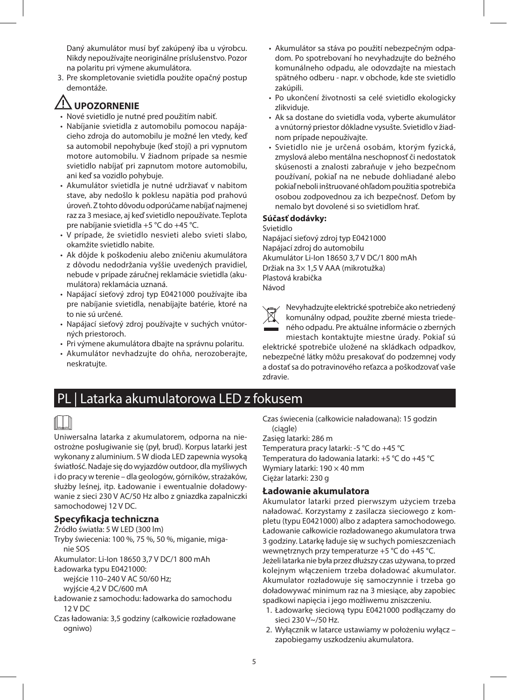Daný akumulátor musí byť zakúpený iba u výrobcu. Nikdy nepoužívajte neoriginálne príslušenstvo. Pozor na polaritu pri výmene akumulátora.

3. Pre skompletovanie svietidla použite opačný postup demontáže.

### **UPOZORNENIE**

- Nové svietidlo je nutné pred použitím nabiť.
- Nabíjanie svietidla z automobilu pomocou napájacieho zdroja do automobilu je možné len vtedy, keď sa automobil nepohybuje (keď stojí) a pri vypnutom motore automobilu. V žiadnom prípade sa nesmie svietidlo nabíjať pri zapnutom motore automobilu, ani keď sa vozidlo pohybuje.
- Akumulátor svietidla je nutné udržiavať v nabitom stave, aby nedošlo k poklesu napätia pod prahovú úroveň. Z tohto dôvodu odporúčame nabíjať najmenej raz za 3 mesiace, aj keď svietidlo nepoužívate. Teplota pre nabíjanie svietidla +5 °C do +45 °C.
- V prípade, že svietidlo nesvieti alebo svieti slabo, okamžite svietidlo nabite.
- Ak dôjde k poškodeniu alebo zničeniu akumulátora z dôvodu nedodržania vyššie uvedených pravidiel, nebude v prípade záručnej reklamácie svietidla (akumulátora) reklamácia uznaná.
- Napájací sieťový zdroj typ E0421000 používajte iba pre nabíjanie svietidla, nenabíjajte batérie, ktoré na to nie sú určené.
- Napájací sieťový zdroj používajte v suchých vnútorných priestoroch.
- Pri výmene akumulátora dbajte na správnu polaritu.
- Akumulátor nevhadzujte do ohňa, nerozoberajte, neskratujte.
- Akumulátor sa stáva po použití nebezpečným odpadom. Po spotrebovaní ho nevyhadzujte do bežného komunálneho odpadu, ale odovzdajte na miestach spätného odberu - napr. v obchode, kde ste svietidlo zakúpili.
- Po ukončení životnosti sa celé svietidlo ekologicky zlikviduje.
- Ak sa dostane do svietidla voda, vyberte akumulátor a vnútorný priestor dôkladne vysušte. Svietidlo v žiadnom prípade nepoužívajte.
- Svietidlo nie je určená osobám, ktorým fyzická, zmyslová alebo mentálna neschopnosť či nedostatok skúsenosti a znalosti zabraňuje v jeho bezpečnom používaní, pokiaľ na ne nebude dohliadané alebo pokiaľ neboli inštruované ohľadom použitia spotrebiča osobou zodpovednou za ich bezpečnosť. Deťom by nemalo byt dovolené si so svietidlom hrať.

### **Súčasť dodávky:**

#### Svietidlo

Napájací sieťový zdroj typ E0421000 Napájací zdroj do automobilu Akumulátor Li-Ion 18650 3,7 V DC/1 800 mAh Držiak na 3× 1,5 V AAA (mikrotužka) Plastová krabička Návod

Nevyhadzujte elektrické spotrebiče ako netriedený komunálny odpad, použite zberné miesta triedeného odpadu. Pre aktuálne informácie o zberných

miestach kontaktujte miestne úrady. Pokiaľ sú elektrické spotrebiče uložené na skládkach odpadkov, nebezpečné látky môžu presakovať do podzemnej vody a dostať sa do potravinového reťazca a poškodzovať vaše zdravie.

### PL | Latarka akumulatorowa LED z fokusem

Uniwersalna latarka z akumulatorem, odporna na nieostrożne posługiwanie się (pył, brud). Korpus latarki jest wykonany z aluminium. 5 W dioda LED zapewnia wysoką światłość. Nadaje się do wyjazdów outdoor, dla myśliwych i do pracy w terenie – dla geologów, górników, strażaków, służby leśnej, itp. Ładowanie i ewentualnie doładowywanie z sieci 230 V AC/50 Hz albo z gniazdka zapalniczki samochodowej 12 V DC.

### **Specyfikacja techniczna**

Źródło światła: 5 W LED (300 lm)

Tryby świecenia: 100 %, 75 %, 50 %, miganie, miganie SOS

Akumulator: Li-Ion 18650 3,7 V DC/1 800 mAh

Ładowarka typu E0421000:

wejście 110–240 V AC 50/60 Hz; wyjście 4,2 V DC/600 mA

Ładowanie z samochodu: ładowarka do samochodu 12 V DC

Czas ładowania: 3,5 godziny (całkowicie rozładowane ogniwo)

Czas świecenia (całkowicie naładowana): 15 godzin (ciągle)

Zasięg latarki: 286 m

Temperatura pracy latarki: -5 °C do +45 °C Temperatura do ładowania latarki: +5 °C do +45 °C Wymiary latarki:  $190 \times 40$  mm Ciężar latarki: 230 g

### **Ładowanie akumulatora**

Akumulator latarki przed pierwszym użyciem trzeba naładować. Korzystamy z zasilacza sieciowego z kompletu (typu E0421000) albo z adaptera samochodowego. Ładowanie całkowicie rozładowanego akumulatora trwa 3 godziny. Latarkę ładuje się w suchych pomieszczeniach wewnętrznych przy temperaturze +5 °C do +45 °C.

Jeżeli latarka nie była przez dłuższy czas używana, to przed kolejnym włączeniem trzeba doładować akumulator. Akumulator rozładowuje się samoczynnie i trzeba go doładowywać minimum raz na 3 miesiące, aby zapobiec spadkowi napięcia i jego możliwemu zniszczeniu.

- 1. Ładowarkę sieciową typu E0421000 podłączamy do sieci 230 V~/50 Hz.
- 2. Wyłącznik w latarce ustawiamy w położeniu wyłącz zapobiegamy uszkodzeniu akumulatora.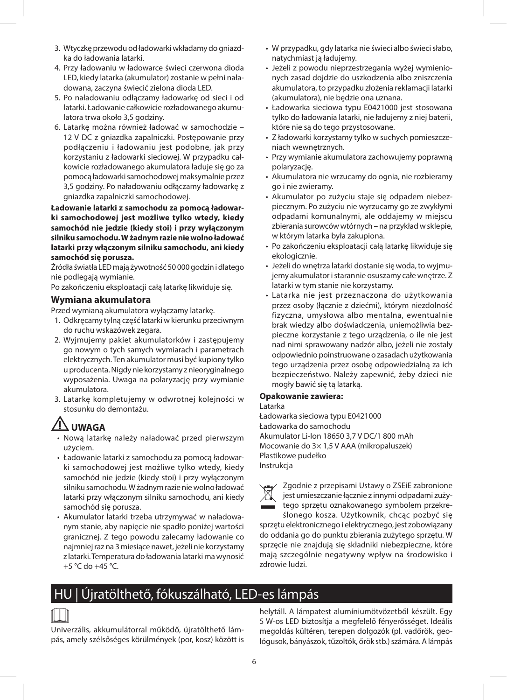- 3. Wtyczkę przewodu od ładowarki wkładamy do gniazdka do ładowania latarki.
- 4. Przy ładowaniu w ładowarce świeci czerwona dioda LED, kiedy latarka (akumulator) zostanie w pełni naładowana, zaczyna świecić zielona dioda LED.
- 5. Po naładowaniu odłączamy ładowarkę od sieci i od latarki. Ładowanie całkowicie rozładowanego akumulatora trwa około 3,5 godziny.
- 6. Latarkę można również ładować w samochodzie 12 V DC z gniazdka zapalniczki. Postępowanie przy podłączeniu i ładowaniu jest podobne, jak przy korzystaniu z ładowarki sieciowej. W przypadku całkowicie rozładowanego akumulatora ładuje się go za pomocą ładowarki samochodowej maksymalnie przez 3,5 godziny. Po naładowaniu odłączamy ładowarkę z gniazdka zapalniczki samochodowej.

**Ładowanie latarki z samochodu za pomocą ładowarki samochodowej jest możliwe tylko wtedy, kiedy samochód nie jedzie (kiedy stoi) i przy wyłączonym silniku samochodu. W żadnym razie nie wolno ładować latarki przy włączonym silniku samochodu, ani kiedy samochód się porusza.**

Źródła światła LED mają żywotność 50 000 godzin i dlatego nie podlegają wymianie.

Po zakończeniu eksploatacji całą latarkę likwiduje się.

### **Wymiana akumulatora**

Przed wymianą akumulatora wyłączamy latarkę.

- 1. Odkręcamy tylną część latarki w kierunku przeciwnym do ruchu wskazówek zegara.
- 2. Wyjmujemy pakiet akumulatorków i zastępujemy go nowym o tych samych wymiarach i parametrach elektrycznych. Ten akumulator musi być kupiony tylko u producenta. Nigdy nie korzystamy z nieoryginalnego wyposażenia. Uwaga na polaryzację przy wymianie akumulatora.
- 3. Latarkę kompletujemy w odwrotnej kolejności w stosunku do demontażu.

## **UWAGA**

- Nową latarkę należy naładować przed pierwszym użyciem.
- Ładowanie latarki z samochodu za pomocą ładowarki samochodowej jest możliwe tylko wtedy, kiedy samochód nie jedzie (kiedy stoi) i przy wyłączonym silniku samochodu. W żadnym razie nie wolno ładować latarki przy włączonym silniku samochodu, ani kiedy samochód się porusza.
- Akumulator latarki trzeba utrzymywać w naładowanym stanie, aby napięcie nie spadło poniżej wartości granicznej. Z tego powodu zalecamy ładowanie co najmniej raz na 3 miesiące nawet, jeżeli nie korzystamy z latarki. Temperatura do ładowania latarki ma wynosić +5 °C do +45 °C.
- W przypadku, gdy latarka nie świeci albo świeci słabo, natychmiast ją ładujemy.
- Jeżeli z powodu nieprzestrzegania wyżej wymienionych zasad dojdzie do uszkodzenia albo zniszczenia akumulatora, to przypadku złożenia reklamacji latarki (akumulatora), nie będzie ona uznana.
- Ładowarka sieciowa typu E0421000 jest stosowana tylko do ładowania latarki, nie ładujemy z niej baterii, które nie są do tego przystosowane.
- Z ładowarki korzystamy tylko w suchych pomieszczeniach wewnętrznych.
- Przy wymianie akumulatora zachowujemy poprawną polaryzację.
- Akumulatora nie wrzucamy do ognia, nie rozbieramy go i nie zwieramy.
- Akumulator po zużyciu staje się odpadem niebezpiecznym. Po zużyciu nie wyrzucamy go ze zwykłymi odpadami komunalnymi, ale oddajemy w miejscu zbierania surowców wtórnych – na przykład w sklepie, w którym latarka była zakupiona.
- Po zakończeniu eksploatacji całą latarkę likwiduje się ekologicznie.
- Jeżeli do wnętrza latarki dostanie się woda, to wyjmujemy akumulator i starannie osuszamy całe wnętrze. Z latarki w tym stanie nie korzystamy.
- Latarka nie jest przeznaczona do użytkowania przez osoby (łącznie z dziećmi), którym niezdolność fizyczna, umysłowa albo mentalna, ewentualnie brak wiedzy albo doświadczenia, uniemożliwia bezpieczne korzystanie z tego urządzenia, o ile nie jest nad nimi sprawowany nadzór albo, jeżeli nie zostały odpowiednio poinstruowane o zasadach użytkowania tego urządzenia przez osobę odpowiedzialną za ich bezpieczeństwo. Należy zapewnić, żeby dzieci nie mogły bawić się tą latarką.

#### **Opakowanie zawiera:**

Latarka Ładowarka sieciowa typu E0421000 Ładowarka do samochodu Akumulator Li-Ion 18650 3,7 V DC/1 800 mAh Mocowanie do 3× 1,5 V AAA (mikropaluszek) Plastikowe pudełko Instrukcja

| ٧ |
|---|
|   |
|   |

odnie z przepisami Ustawy o ZSEiE zabronione st umieszczanie łącznie z innymi odpadami zużytego sprzętu oznakowanego symbolem przekre-

ślonego kosza. Użytkownik, chcąc pozbyć się sprzętu elektronicznego i elektrycznego, jest zobowiązany do oddania go do punktu zbierania zużytego sprzętu. W sprzęcie nie znajdują się składniki niebezpieczne, które mają szczególnie negatywny wpływ na środowisko i zdrowie ludzi.

### HU | Újratölthető, fókuszálható, LED-es lámpás

Univerzális, akkumulátorral működő, újratölthető lámpás, amely szélsőséges körülmények (por, kosz) között is

helytáll. A lámpatest alumíniumötvözetből készült. Egy 5 W-os LED biztosítja a megfelelő fényerősséget. Ideális megoldás kültéren, terepen dolgozók (pl. vadőrök, geológusok, bányászok, tűzoltók, őrök stb.) számára. A lámpás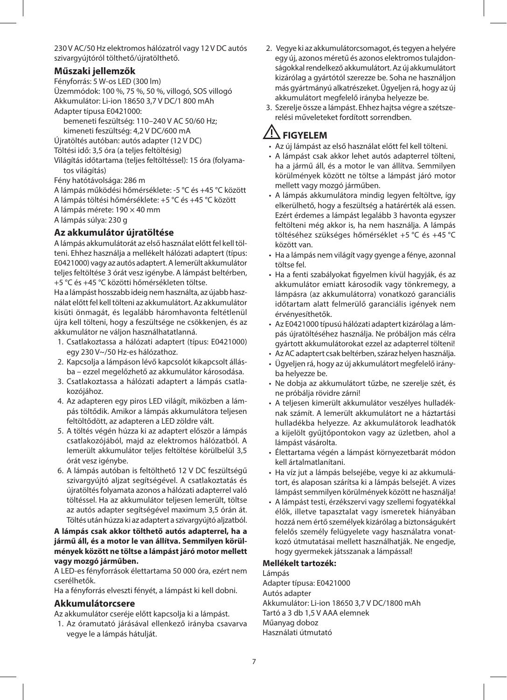230 V AC/50 Hz elektromos hálózatról vagy 12 V DC autós szivargyújtóról tölthető/újratölthető.

### **Műszaki jellemzők**

Fényforrás: 5 W-os LED (300 lm)

Üzemmódok: 100 %, 75 %, 50 %, villogó, SOS villogó Akkumulátor: Li-ion 18650 3,7 V DC/1 800 mAh Adapter típusa E0421000:

bemeneti feszültség: 110–240 V AC 50/60 Hz; kimeneti feszültség: 4,2 V DC/600 mA

- Újratöltés autóban: autós adapter (12 V DC)
- Töltési idő: 3,5 óra (a teljes feltöltésig)

Világítás időtartama (teljes feltöltéssel): 15 óra (folyamatos világítás)

Fény hatótávolsága: 286 m

A lámpás működési hőmérséklete: -5 °C és +45 °C között

- A lámpás töltési hőmérséklete: +5 °C és +45 °C között
- A lámpás mérete: 190 × 40 mm
- A lámpás súlya: 230 g

### **Az akkumulátor újratöltése**

A lámpás akkumulátorát az első használat előtt fel kell tölteni. Ehhez használja a mellékelt hálózati adaptert (típus: E0421000) vagy az autós adaptert. A lemerült akkumulátor teljes feltöltése 3 órát vesz igénybe. A lámpást beltérben, +5 °C és +45 °C közötti hőmérsékleten töltse.

Ha a lámpást hosszabb ideig nem használta, az újabb használat előtt fel kell tölteni az akkumulátort. Az akkumulátor kisüti önmagát, és legalább háromhavonta feltétlenül újra kell tölteni, hogy a feszültsége ne csökkenjen, és az akkumulátor ne váljon használhatatlanná.

- 1. Csatlakoztassa a hálózati adaptert (típus: E0421000) egy 230 V~/50 Hz-es hálózathoz.
- 2. Kapcsolja a lámpáson lévő kapcsolót kikapcsolt állásba – ezzel megelőzhető az akkumulátor károsodása.
- 3. Csatlakoztassa a hálózati adaptert a lámpás csatlakozójához.
- 4. Az adapteren egy piros LED világít, miközben a lámpás töltődik. Amikor a lámpás akkumulátora teljesen feltöltődött, az adapteren a LED zöldre vált.
- 5. A töltés végén húzza ki az adaptert először a lámpás csatlakozójából, majd az elektromos hálózatból. A lemerült akkumulátor teljes feltöltése körülbelül 3,5 órát vesz igénybe.
- 6. A lámpás autóban is feltölthető 12 V DC feszültségű szivargyújtó aljzat segítségével. A csatlakoztatás és újratöltés folyamata azonos a hálózati adapterrel való töltéssel. Ha az akkumulátor teljesen lemerült, töltse az autós adapter segítségével maximum 3,5 órán át. Töltés után húzza ki az adaptert a szivargyújtó aljzatból.

### **A lámpás csak akkor tölthető autós adapterrel, ha a jármű áll, és a motor le van állítva. Semmilyen körülmények között ne töltse a lámpást járó motor mellett vagy mozgó járműben.**

A LED-es fényforrások élettartama 50 000 óra, ezért nem cserélhetők.

Ha a fényforrás elveszti fényét, a lámpást ki kell dobni.

### **Akkumulátorcsere**

Az akkumulátor cseréje előtt kapcsolja ki a lámpást.

1. Az óramutató járásával ellenkező irányba csavarva vegye le a lámpás hátulját.

- 2. Vegye ki az akkumulátorcsomagot, és tegyen a helyére egy új, azonos méretű és azonos elektromos tulajdonságokkal rendelkező akkumulátort. Az új akkumulátort kizárólag a gyártótól szerezze be. Soha ne használjon más gyártmányú alkatrészeket. Ügyeljen rá, hogy az új akkumulátort megfelelő irányba helyezze be.
- 3. Szerelje össze a lámpást. Ehhez hajtsa végre a szétszerelési műveleteket fordított sorrendben.

#### /l/  **FIGYELEM**

- Az új lámpást az első használat előtt fel kell tölteni.
- A lámpást csak akkor lehet autós adapterrel tölteni, ha a jármű áll, és a motor le van állítva. Semmilyen körülmények között ne töltse a lámpást járó motor mellett vagy mozgó járműben.
- A lámpás akkumulátora mindig legyen feltöltve, így elkerülhető, hogy a feszültség a határérték alá essen. Ezért érdemes a lámpást legalább 3 havonta egyszer feltölteni még akkor is, ha nem használja. A lámpás töltéséhez szükséges hőmérséklet +5 °C és +45 °C között van.
- Ha a lámpás nem világít vagy gyenge a fénye, azonnal töltse fel.
- Ha a fenti szabályokat figyelmen kívül hagyják, és az akkumulátor emiatt károsodik vagy tönkremegy, a lámpásra (az akkumulátorra) vonatkozó garanciális időtartam alatt felmerülő garanciális igények nem érvényesíthetők.
- Az E0421000 típusú hálózati adaptert kizárólag a lámpás újratöltéséhez használja. Ne próbáljon más célra gyártott akkumulátorokat ezzel az adapterrel tölteni!
- Az AC adaptert csak beltérben, száraz helyen használja.
- Ügyeljen rá, hogy az új akkumulátort megfelelő irányba helyezze be.
- Ne dobja az akkumulátort tűzbe, ne szerelje szét, és ne próbálja rövidre zárni!
- A teljesen kimerült akkumulátor veszélyes hulladéknak számít. A lemerült akkumulátort ne a háztartási hulladékba helyezze. Az akkumulátorok leadhatók a kijelölt gyűjtőpontokon vagy az üzletben, ahol a lámpást vásárolta.
- Élettartama végén a lámpást környezetbarát módon kell ártalmatlanítani.
- Ha víz jut a lámpás belsejébe, vegye ki az akkumulátort, és alaposan szárítsa ki a lámpás belsejét. A vizes lámpást semmilyen körülmények között ne használja!
- A lámpást testi, érzékszervi vagy szellemi fogyatékkal élők, illetve tapasztalat vagy ismeretek hiányában hozzá nem értő személyek kizárólag a biztonságukért felelős személy felügyelete vagy használatra vonatkozó útmutatásai mellett használhatják. Ne engedje, hogy gyermekek játsszanak a lámpással!

### **Mellékelt tartozék:**

Lámpás Adapter típusa: E0421000 Autós adapter Akkumulátor: Li-ion 18650 3,7 V DC/1800 mAh Tartó a 3 db 1,5 V AAA elemnek Műanyag doboz Használati útmutató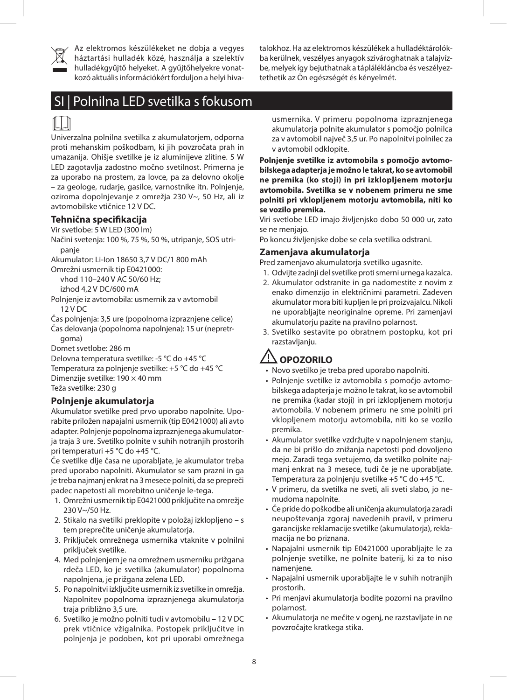

Az elektromos készülékeket ne dobja a vegyes háztartási hulladék közé, használja a szelektív hulladékgyűjtő helyeket. A gyűjtőhelyekre vonatkozó aktuális információkért forduljon a helyi hivatalokhoz. Ha az elektromos készülékek a hulladéktárolókba kerülnek, veszélyes anyagok szivároghatnak a talajvízbe, melyek így bejuthatnak a táplálékláncba és veszélyeztethetik az Ön egészségét és kényelmét.

### | Polnilna LED svetilka s fokusom

Univerzalna polnilna svetilka z akumulatorjem, odporna proti mehanskim poškodbam, ki jih povzročata prah in umazanija. Ohišje svetilke je iz aluminijeve zlitine. 5 W LED zagotavlja zadostno močno svetilnost. Primerna je za uporabo na prostem, za lovce, pa za delovno okolje – za geologe, rudarje, gasilce, varnostnike itn. Polnjenje, oziroma dopolnjevanje z omrežja 230 V~, 50 Hz, ali iz avtomobilske vtičnice 12 V DC.

### **Tehnična specifikacija**

Vir svetlobe: 5 W LED (300 lm)

- Načini svetenja: 100 %, 75 %, 50 %, utripanje, SOS utripanje
- Akumulator: Li-Ion 18650 3,7 V DC/1 800 mAh
- Omrežni usmernik tip E0421000:
	- vhod 110–240 V AC 50/60 Hz;

izhod 4,2 V DC/600 mA

- Polnjenje iz avtomobila: usmernik za v avtomobil 12 V DC
- Čas polnjenja: 3,5 ure (popolnoma izpraznjene celice) Čas delovanja (popolnoma napolnjena): 15 ur (nepretr-
- goma)

Domet svetlobe: 286 m

Delovna temperatura svetilke: -5 °C do +45 °C Temperatura za polnjenje svetilke: +5 °C do +45 °C Dimenzije svetilke: 190 × 40 mm Teža svetilke: 230 g

### **Polnjenje akumulatorja**

Akumulator svetilke pred prvo uporabo napolnite. Uporabite priložen napajalni usmernik (tip E0421000) ali avto adapter. Polnjenje popolnoma izpraznjenega akumulatorja traja 3 ure. Svetilko polnite v suhih notranjih prostorih pri temperaturi +5 °C do +45 °C.

Če svetilke dlje časa ne uporabljate, je akumulator treba pred uporabo napolniti. Akumulator se sam prazni in ga je treba najmanj enkrat na 3 mesece polniti, da se prepreči padec napetosti ali morebitno uničenje le-tega.

- 1. Omrežni usmernik tip E0421000 priključite na omrežje 230 V~/50 Hz.
- 2. Stikalo na svetilki preklopite v položaj izklopljeno s tem preprečite uničenje akumulatorja.
- 3. Priključek omrežnega usmernika vtaknite v polnilni priključek svetilke.
- 4. Med polnjenjem je na omrežnem usmerniku prižgana rdeča LED, ko je svetilka (akumulator) popolnoma napolnjena, je prižgana zelena LED.
- 5. Po napolnitvi izključite usmernik iz svetilke in omrežja. Napolnitev popolnoma izpraznjenega akumulatorja traja približno 3,5 ure.
- 6. Svetilko je možno polniti tudi v avtomobilu 12 V DC prek vtičnice vžigalnika. Postopek priključitve in polnjenja je podoben, kot pri uporabi omrežnega

usmernika. V primeru popolnoma izpraznjenega akumulatorja polnite akumulator s pomočjo polnilca za v avtomobil največ 3,5 ur. Po napolnitvi polnilec za v avtomobil odklopite.

**Polnjenje svetilke iz avtomobila s pomočjo avtomobilskega adapterja je možno le takrat, ko se avtomobil ne premika (ko stoji) in pri izklopljenem motorju avtomobila. Svetilka se v nobenem primeru ne sme polniti pri vklopljenem motorju avtomobila, niti ko se vozilo premika.**

Viri svetlobe LED imajo življenjsko dobo 50 000 ur, zato se ne menjajo.

Po koncu življenjske dobe se cela svetilka odstrani.

### **Zamenjava akumulatorja**

Pred zamenjavo akumulatorja svetilko ugasnite.

- 1. Odvijte zadnji del svetilke proti smerni urnega kazalca.
- 2. Akumulator odstranite in ga nadomestite z novim z enako dimenzijo in električnimi parametri. Zadeven akumulator mora biti kupljen le pri proizvajalcu. Nikoli ne uporabljajte neoriginalne opreme. Pri zamenjavi akumulatorju pazite na pravilno polarnost.
- 3. Svetilko sestavite po obratnem postopku, kot pri razstavljanju.

## **OPOZORILO**

- Novo svetilko je treba pred uporabo napolniti.
- Polnjenje svetilke iz avtomobila s pomočjo avtomobilskega adapterja je možno le takrat, ko se avtomobil ne premika (kadar stoji) in pri izklopljenem motorju avtomobila. V nobenem primeru ne sme polniti pri vklopljenem motorju avtomobila, niti ko se vozilo premika.
- Akumulator svetilke vzdržujte v napolnjenem stanju, da ne bi prišlo do znižanja napetosti pod dovoljeno mejo. Zaradi tega svetujemo, da svetilko polnite najmanj enkrat na 3 mesece, tudi če je ne uporabljate. Temperatura za polnjenju svetilke +5 °C do +45 °C.
- V primeru, da svetilka ne sveti, ali sveti slabo, jo nemudoma napolnite.
- Če pride do poškodbe ali uničenja akumulatorja zaradi neupoštevanja zgoraj navedenih pravil, v primeru garancijske reklamacije svetilke (akumulatorja), reklamacija ne bo priznana.
- Napajalni usmernik tip E0421000 uporabljajte le za polnjenje svetilke, ne polnite baterij, ki za to niso nameniene.
- Napajalni usmernik uporabljajte le v suhih notranjih prostorih.
- Pri menjavi akumulatorja bodite pozorni na pravilno polarnost.
- Akumulatorja ne mečite v ogenj, ne razstavljate in ne povzročajte kratkega stika.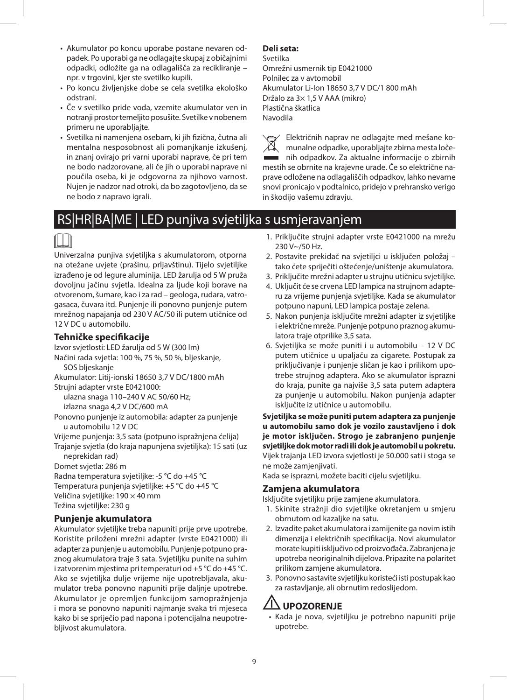- Akumulator po koncu uporabe postane nevaren odpadek. Po uporabi ga ne odlagajte skupaj z običajnimi odpadki, odložite ga na odlagališča za recikliranje – npr. v trgovini, kjer ste svetilko kupili.
- Po koncu življenjske dobe se cela svetilka ekološko odstrani.
- Če v svetilko pride voda, vzemite akumulator ven in notranji prostor temeljito posušite. Svetilke v nobenem primeru ne uporabljajte.
- Svetilka ni namenjena osebam, ki jih fizična, čutna ali mentalna nesposobnost ali pomanjkanje izkušenj, in znanj ovirajo pri varni uporabi naprave, če pri tem ne bodo nadzorovane, ali če jih o uporabi naprave ni poučila oseba, ki je odgovorna za njihovo varnost. Nujen je nadzor nad otroki, da bo zagotovljeno, da se ne bodo z napravo igrali.

### **Deli seta:**

Svetilka Omrežni usmernik tip E0421000 Polnilec za v avtomobil Akumulator Li-Ion 18650 3,7 V DC/1 800 mAh Držalo za 3× 1,5 V AAA (mikro) Plastična škatlica Navodila

Električnih naprav ne odlagajte med mešane komunalne odpadke, uporabljajte zbirna mesta ločenih odpadkov. Za aktualne informacije o zbirnih mestih se obrnite na krajevne urade. Če so električne naprave odložene na odlagališčih odpadkov, lahko nevarne snovi pronicajo v podtalnico, pridejo v prehransko verigo in škodijo vašemu zdravju.

## RS|HR|BA|ME | LED punjiva svjetiljka s usmjeravanjem

Univerzalna punjiva svjetiljka s akumulatorom, otporna na otežane uvjete (prašinu, prljavštinu). Tijelo svjetiljke izrađeno je od legure aluminija. LED žarulja od 5 W pruža dovolinu jačinu svjetla. Idealna za ljude koji borave na otvorenom, šumare, kao i za rad – geologa, rudara, vatrogasaca, čuvara itd. Punjenje ili ponovno punjenje putem mrežnog napajanja od 230 V AC/50 ili putem utičnice od 12 V DC u automobilu.

### **Tehničke specifikacije**

Izvor svjetlosti: LED žarulja od 5 W (300 lm)

Načini rada svjetla: 100 %, 75 %, 50 %, bljeskanje, SOS bljeskanje

Akumulator: Litij-ionski 18650 3,7 V DC/1800 mAh Strujni adapter vrste E0421000:

ulazna snaga 110–240 V AC 50/60 Hz;

izlazna snaga 4,2 V DC/600 mA

Ponovno punjenje iz automobila: adapter za punjenje u automobilu 12 V DC

Vrijeme punjenja: 3,5 sata (potpuno ispražnjena ćelija)

Trajanje svjetla (do kraja napunjena svjetiljka): 15 sati (uz neprekidan rad)

Domet svjetla: 286 m

Radna temperatura svjetiljke: -5 °C do +45 °C Temperatura punjenja svjetiljke: +5 °C do +45 °C

Veličina svjetiljke: 190 × 40 mm Težina svjetiljke: 230 g

### **Punjenje akumulatora**

Akumulator svjetiljke treba napuniti prije prve upotrebe. Koristite priloženi mrežni adapter (vrste E0421000) ili adapter za punjenje u automobilu. Punjenje potpuno praznog akumulatora traje 3 sata. Svjetiljku punite na suhim i zatvorenim mjestima pri temperaturi od +5 °C do +45 °C. Ako se svjetiljka dulje vrijeme nije upotrebljavala, akumulator treba ponovno napuniti prije daljnje upotrebe. Akumulator je opremljen funkcijom samopražnjenja i mora se ponovno napuniti najmanje svaka tri mjeseca kako bi se spriječio pad napona i potencijalna neupotrebljivost akumulatora.

- 1. Priključite strujni adapter vrste E0421000 na mrežu 230 V~/50 Hz.
- 2. Postavite prekidač na svjetiljci u isključen položaj tako ćete spriječiti oštećenje/uništenje akumulatora.
- 3. Priključite mrežni adapter u strujnu utičnicu svjetiljke.
- 4. Uključit će se crvena LED lampica na strujnom adapteru za vrijeme punjenja svjetiljke. Kada se akumulator potpuno napuni, LED lampica postaje zelena.
- 5. Nakon punjenja isključite mrežni adapter iz svjetiljke i električne mreže. Punjenje potpuno praznog akumulatora traje otprilike 3,5 sata.
- 6. Svjetiljka se može puniti i u automobilu 12 V DC putem utičnice u upaljaču za cigarete. Postupak za priključivanje i punjenje sličan je kao i prilikom upotrebe strujnog adaptera. Ako se akumulator isprazni do kraja, punite ga najviše 3,5 sata putem adaptera za punjenje u automobilu. Nakon punjenja adapter isključite iz utičnice u automobilu.

**Svjetiljka se može puniti putem adaptera za punjenje u automobilu samo dok je vozilo zaustavljeno i dok je motor isključen. Strogo je zabranjeno punjenje svjetiljke dok motor radi ili dok je automobil u pokretu.** Vijek trajanja LED izvora svjetlosti je 50.000 sati i stoga se ne može zamjenjivati.

Kada se isprazni, možete baciti cijelu svjetiljku.

### **Zamjena akumulatora**

Isključite svjetiljku prije zamjene akumulatora.

- 1. Skinite stražnji dio svjetiljke okretanjem u smjeru obrnutom od kazaljke na satu.
- 2. Izvadite paket akumulatora i zamijenite ga novim istih dimenzija i električnih specifikacija. Novi akumulator morate kupiti isključivo od proizvođača. Zabranjena je upotreba neoriginalnih dijelova. Pripazite na polaritet prilikom zamjene akumulatora.
- 3. Ponovno sastavite svjetiljku koristeći isti postupak kao za rastavljanje, ali obrnutim redoslijedom.

## **UPOZORENJE**

• Kada je nova, svjetiljku je potrebno napuniti prije upotrebe.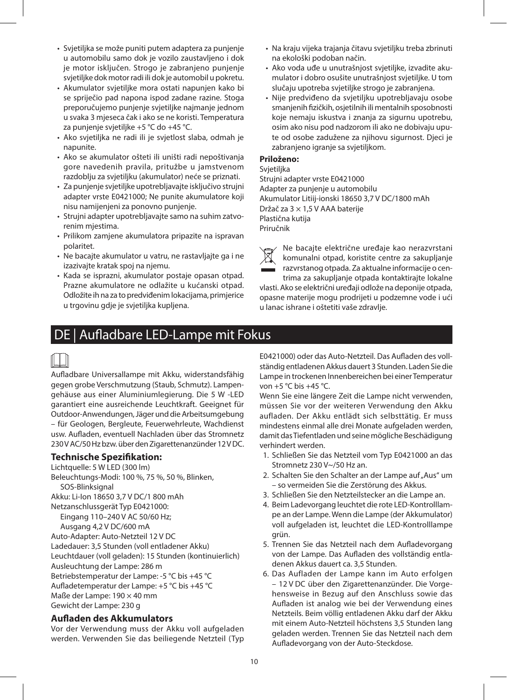- Svjetiljka se može puniti putem adaptera za punjenje u automobilu samo dok je vozilo zaustavljeno i dok je motor isključen. Strogo je zabranjeno punjenje svjetiljke dok motor radi ili dok je automobil u pokretu.
- Akumulator svjetiljke mora ostati napunjen kako bi se spriječio pad napona ispod zadane razine. Stoga preporučujemo punjenje svjetiljke najmanje jednom u svaka 3 mjeseca čak i ako se ne koristi. Temperatura za punjenje svjetiljke +5 °C do +45 °C.
- Ako svjetiljka ne radi ili je svjetlost slaba, odmah je napunite.
- Ako se akumulator ošteti ili uništi radi nepoštivanja gore navedenih pravila, pritužbe u jamstvenom razdoblju za svjetiljku (akumulator) neće se priznati.
- Za punjenje svjetiljke upotrebljavajte isključivo strujni adapter vrste E0421000; Ne punite akumulatore koji nisu namijenjeni za ponovno punjenje.
- Strujni adapter upotrebljavajte samo na suhim zatvorenim mjestima.
- Prilikom zamjene akumulatora pripazite na ispravan polaritet.
- Ne bacajte akumulator u vatru, ne rastavljajte ga i ne izazivajte kratak spoj na njemu.
- Kada se isprazni, akumulator postaje opasan otpad. Prazne akumulatore ne odlažite u kućanski otpad. Odložite ih na za to predviđenim lokacijama, primjerice u trgovinu gdje je svjetiljka kupljena.

#### mulator i dobro osušite unutrašnjost svjetiljke. U tom slučaju upotreba svjetiljke strogo je zabranjena.

na ekološki podoban način.

• Nije predviđeno da svjetiljku upotrebljavaju osobe smanjenih fizičkih, osjetilnih ili mentalnih sposobnosti koje nemaju iskustva i znanja za sigurnu upotrebu, osim ako nisu pod nadzorom ili ako ne dobivaju upute od osobe zadužene za njihovu sigurnost. Djeci je zabranjeno igranje sa svjetiljkom.

• Na kraju vijeka trajanja čitavu svjetiljku treba zbrinuti

• Ako voda uđe u unutrašnjost svjetiljke, izvadite aku-

### **Priloženo:**

#### Svjetiljka

Strujni adapter vrste E0421000 Adapter za punjenje u automobilu Akumulator Litiij-ionski 18650 3,7 V DC/1800 mAh Držač za 3 × 1,5 V AAA baterije Plastična kutija Priručnik

Ne bacajte električne uređaje kao nerazvrstani komunalni otpad, koristite centre za sakupljanje razvrstanog otpada. Za aktualne informacije o cen-

trima za sakupljanje otpada kontaktirajte lokalne vlasti. Ako se električni uređaji odlože na deponije otpada, opasne materije mogu prodrijeti u podzemne vode i ući u lanac ishrane i oštetiti vaše zdravlje.

### Aufladbare LED-Lampe mit Fokus

Aufladbare Universallampe mit Akku, widerstandsfähig gegen grobe Verschmutzung (Staub, Schmutz). Lampengehäuse aus einer Aluminiumlegierung. Die 5 W -LED garantiert eine ausreichende Leuchtkraft. Geeignet für Outdoor-Anwendungen, Jäger und die Arbeitsumgebung – für Geologen, Bergleute, Feuerwehrleute, Wachdienst usw. Aufladen, eventuell Nachladen über das Stromnetz 230 V AC/50 Hz bzw. über den Zigarettenanzünder 12 V DC.

### **Technische Spezifikation:**

Lichtquelle: 5 W LED (300 lm) Beleuchtungs-Modi: 100 %, 75 %, 50 %, Blinken, SOS-Blinksignal Akku: Li-Ion 18650 3,7 V DC/1 800 mAh Netzanschlussgerät Typ E0421000: Eingang 110–240 V AC 50/60 Hz; Ausgang 4,2 V DC/600 mA Auto-Adapter: Auto-Netzteil 12 V DC Ladedauer: 3,5 Stunden (voll entladener Akku) Leuchtdauer (voll geladen): 15 Stunden (kontinuierlich) Ausleuchtung der Lampe: 286 m Betriebstemperatur der Lampe: -5 °C bis +45 °C Aufladetemperatur der Lampe: +5 °C bis +45 °C Maße der Lampe: 190 × 40 mm Gewicht der Lampe: 230 g

### **Aufladen des Akkumulators**

Vor der Verwendung muss der Akku voll aufgeladen werden. Verwenden Sie das beiliegende Netzteil (Typ E0421000) oder das Auto-Netzteil. Das Aufladen des vollständig entladenen Akkus dauert 3 Stunden. Laden Sie die Lampe in trockenen Innenbereichen bei einer Temperatur von +5 °C bis +45 °C.

Wenn Sie eine längere Zeit die Lampe nicht verwenden, müssen Sie vor der weiteren Verwendung den Akku aufladen. Der Akku entlädt sich selbsttätig. Er muss mindestens einmal alle drei Monate aufgeladen werden, damit das Tiefentladen und seine mögliche Beschädigung verhindert werden.

- 1. Schließen Sie das Netzteil vom Typ E0421000 an das Stromnetz 230 V~/50 Hz an.
- 2. Schalten Sie den Schalter an der Lampe auf "Aus" um – so vermeiden Sie die Zerstörung des Akkus.
- 3. Schließen Sie den Netzteilstecker an die Lampe an.
- 4. Beim Ladevorgang leuchtet die rote LED-Kontrolllampe an der Lampe. Wenn die Lampe (der Akkumulator) voll aufgeladen ist, leuchtet die LED-Kontrolllampe grün.
- 5. Trennen Sie das Netzteil nach dem Aufladevorgang von der Lampe. Das Aufladen des vollständig entladenen Akkus dauert ca. 3,5 Stunden.
- 6. Das Aufladen der Lampe kann im Auto erfolgen – 12 V DC über den Zigarettenanzünder. Die Vorgehensweise in Bezug auf den Anschluss sowie das Aufladen ist analog wie bei der Verwendung eines Netzteils. Beim völlig entladenen Akku darf der Akku mit einem Auto-Netzteil höchstens 3,5 Stunden lang geladen werden. Trennen Sie das Netzteil nach dem Aufladevorgang von der Auto-Steckdose.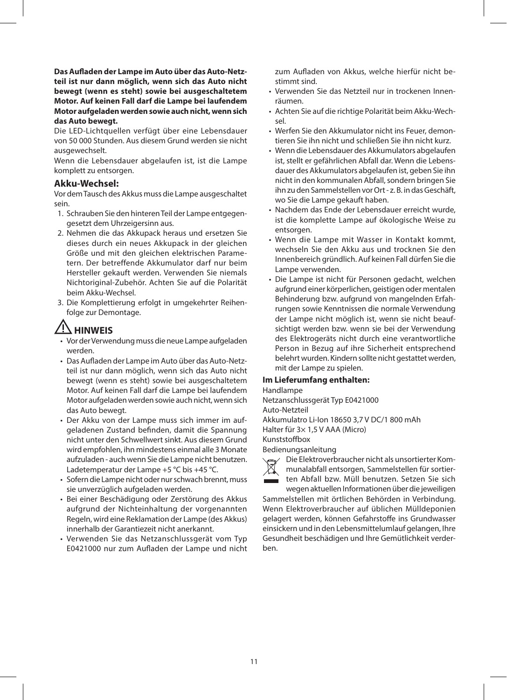**Das Aufladen der Lampe im Auto über das Auto-Netzteil ist nur dann möglich, wenn sich das Auto nicht bewegt (wenn es steht) sowie bei ausgeschaltetem Motor. Auf keinen Fall darf die Lampe bei laufendem Motor aufgeladen werden sowie auch nicht, wenn sich das Auto bewegt.**

Die LED-Lichtquellen verfügt über eine Lebensdauer von 50 000 Stunden. Aus diesem Grund werden sie nicht ausgewechselt.

Wenn die Lebensdauer abgelaufen ist, ist die Lampe komplett zu entsorgen.

### **Akku-Wechsel:**

Vor dem Tausch des Akkus muss die Lampe ausgeschaltet sein.

- 1. Schrauben Sie den hinteren Teil der Lampe entgegengesetzt dem Uhrzeigersinn aus.
- 2. Nehmen die das Akkupack heraus und ersetzen Sie dieses durch ein neues Akkupack in der gleichen Größe und mit den gleichen elektrischen Parametern. Der betreffende Akkumulator darf nur beim Hersteller gekauft werden. Verwenden Sie niemals Nichtoriginal-Zubehör. Achten Sie auf die Polarität beim Akku-Wechsel.
- 3. Die Komplettierung erfolgt in umgekehrter Reihenfolge zur Demontage.

## $\mathcal{\underline{\ }I}\mathcal{\underline{\ }I}$  HINWEIS

- Vor der Verwendung muss die neue Lampe aufgeladen werden.
- Das Aufladen der Lampe im Auto über das Auto-Netzteil ist nur dann möglich, wenn sich das Auto nicht bewegt (wenn es steht) sowie bei ausgeschaltetem Motor. Auf keinen Fall darf die Lampe bei laufendem Motor aufgeladen werden sowie auch nicht, wenn sich das Auto bewegt.
- Der Akku von der Lampe muss sich immer im aufgeladenen Zustand befinden, damit die Spannung nicht unter den Schwellwert sinkt. Aus diesem Grund wird empfohlen, ihn mindestens einmal alle 3 Monate aufzuladen - auch wenn Sie die Lampe nicht benutzen. Ladetemperatur der Lampe +5 °C bis +45 °C.
- Sofern die Lampe nicht oder nur schwach brennt, muss sie unverzüglich aufgeladen werden.
- Bei einer Beschädigung oder Zerstörung des Akkus aufgrund der Nichteinhaltung der vorgenannten Regeln, wird eine Reklamation der Lampe (des Akkus) innerhalb der Garantiezeit nicht anerkannt.
- Verwenden Sie das Netzanschlussgerät vom Typ E0421000 nur zum Aufladen der Lampe und nicht

zum Aufladen von Akkus, welche hierfür nicht bestimmt sind.

- Verwenden Sie das Netzteil nur in trockenen Innenräumen.
- Achten Sie auf die richtige Polarität beim Akku-Wechsel.
- Werfen Sie den Akkumulator nicht ins Feuer, demontieren Sie ihn nicht und schließen Sie ihn nicht kurz.
- Wenn die Lebensdauer des Akkumulators abgelaufen ist, stellt er gefährlichen Abfall dar. Wenn die Lebensdauer des Akkumulators abgelaufen ist, geben Sie ihn nicht in den kommunalen Abfall, sondern bringen Sie ihn zu den Sammelstellen vor Ort - z. B. in das Geschäft, wo Sie die Lampe gekauft haben.
- Nachdem das Ende der Lebensdauer erreicht wurde, ist die komplette Lampe auf ökologische Weise zu entsorgen.
- Wenn die Lampe mit Wasser in Kontakt kommt, wechseln Sie den Akku aus und trocknen Sie den Innenbereich gründlich. Auf keinen Fall dürfen Sie die Lampe verwenden.
- Die Lampe ist nicht für Personen gedacht, welchen aufgrund einer körperlichen, geistigen oder mentalen Behinderung bzw. aufgrund von mangelnden Erfahrungen sowie Kenntnissen die normale Verwendung der Lampe nicht möglich ist, wenn sie nicht beaufsichtigt werden bzw. wenn sie bei der Verwendung des Elektrogeräts nicht durch eine verantwortliche Person in Bezug auf ihre Sicherheit entsprechend belehrt wurden. Kindern sollte nicht gestattet werden, mit der Lampe zu spielen.

### **Im Lieferumfang enthalten:**

Handlampe

Netzanschlussgerät Typ E0421000 Auto-Netzteil Akkumulatro Li-Ion 18650 3,7 V DC/1 800 mAh Halter für 3× 1,5 V AAA (Micro) Kunststoffbox

Bedienungsanleitung



Die Elektroverbraucher nicht als unsortierter Kommunalabfall entsorgen, Sammelstellen für sortier-

ten Abfall bzw. Müll benutzen. Setzen Sie sich wegen aktuellen Informationen über die jeweiligen

Sammelstellen mit örtlichen Behörden in Verbindung. Wenn Elektroverbraucher auf üblichen Mülldeponien gelagert werden, können Gefahrstoffe ins Grundwasser einsickern und in den Lebensmittelumlauf gelangen, Ihre Gesundheit beschädigen und Ihre Gemütlichkeit verderben.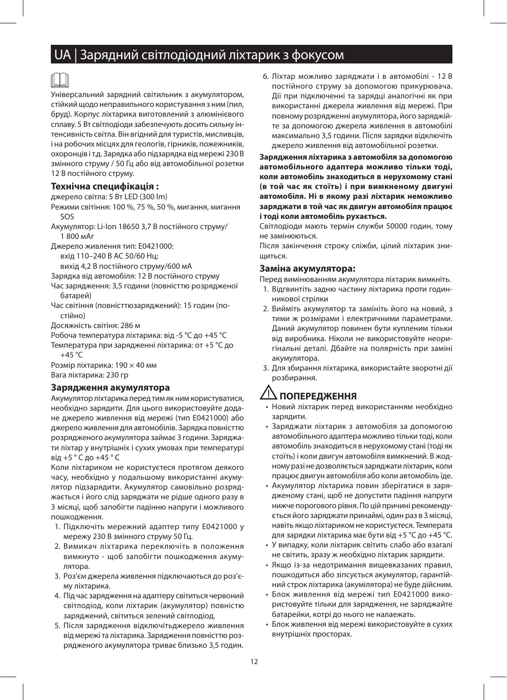### UA | Зарядний світлодіодний ліхтарик з фокусом



Універсальний зарядний світильник з акумулятором, стійкий щодо неправильного користування з ним (пил, бруд). Корпус ліхтарика виготовлений з алюмінієвого сплаву. 5 Вт світлодіоди забезпечують досить сильну інтенсивність світла. Він вгідний для туристів, мисливців, і на робочих місцях для геологів, гірників, пожежників, охоронців і т.д. Зарядка або підзарядка від мережі 230 В змінного струму / 50 Гц або від автомобільної розетки 12 В постійного струму.

### **Технічна специфікація :**

джерело світла: 5 Вт LED (300 lm)

Режими світіння: 100 %, 75 %, 50 %, мигання, мигання SOS

Акумулятор: Li-Ion 18650 3,7 В постійного струму/ 1 800 мАг

Джерело живлення тип: E0421000:

вхід 110–240 В AC 50/60 Нц;

вихід 4,2 В постійного струму/600 мA

- Зарядка від автомобіля: 12 В постійного струму
- Час зарядження: 3,5 години (повністтю розрядженої батарей)
- Час світіння (повністтюзаряджений): 15 годин (постійно)
- Досяжність світіня: 286 м
- Робоча температура ліхтарика: від -5 °C до +45 °C
- Температура при зарядженні ліхтарика: от +5 °C до  $+45$  °C

Розмір ліхтарика: 190 × 40 мм Вага ліхтарика: 230 гр

#### **Зарядження акумулятора**

Акумулятор ліхтарика перед тим як ним користуватися, необхідно зарядити. Для цього використовуйте додане джерело живлення від мережі (тип E0421000) або джерело живлення для автомобілів. Зарядка повністтю розрядженого акумулятора займає 3 години. Заряджати ліхтар у внутрішніх і сухих умовах при температурі від +5 ° С до +45 ° С

Коли ліхтариком не користуєтеся протягом деякого часу, необхідно у подальшому використанні акумулятор підзарядити. Акумулятор самовільно розряджається і його слід заряджати не рідше одного разу в 3 місяці, щоб запобігти падінню напруги і можливого пошкодження.

- 1. Підключіть мережний адаптер типу E0421000 у мережу 230 В змінного струму 50 Гц.
- 2. Вимикач ліхтарика переключіть в положення вимкнуто - щоб запобігти пошкодження акумулятора.
- 3. Роз'єм джерела живлення підключаються до роз'єму ліхтарика.
- 4. Під час зарядження на адаптеру світиться червоний світлодіод, коли ліхтарик (акумулятор) повністю заряджений, світиться зелений світлодіод.
- 5. Після зарядження відключітьджерело живлення від мережі та ліхтарика. Зарядження повністтю розрядженого акумулятора триває близько 3,5 годин.

6. Ліхтар можливо заряджати і в автомобілі - 12 В постійного струму за допомогою прикурювача. Дії при підключенні та зарядці аналогічні як при використанні джерела живлення від мережі. При повному розрядженні акумулятора, його заряджійте за допомогою джерела живлення в автомобілі максимально 3,5 години. Після зарядки відключіть джерело живлення від автомобільної розетки.

**Зарядження ліхтарика з автомобіля за допомогою автомобільного адаптера можливо тільки тоді, коли автомобіль знаходиться в нерухомому стані (в той час як стоїть) і при вимкненому двигуні автомобіля. Ні в якому разі ліхтарик неможливо заряджати в той час як двигун автомобіля працює і тоді коли автомобіль рухається.**

Світлодіоди мають термін служби 50000 годин, тому не замінюються.

Після закінчення строку сліжби, цілий ліхтарик знищиться.

### **Заміна акумулятора:**

Перед вимінюванням акумулятора ліхтарик вимкніть.

- 1. Відгвинтіть задню частину ліхтарика проти годинникової стрілки
- 2. Вийміть акумулятор та замініть його на новий, з тими ж розмірами і електричними параметрами. Даний акумулятор повинен бути купленим тільки від виробника. Ніколи не використовуйте неоригінальні деталі. Дбайте на полярність при заміні акумулятора.
- 3. Для збирання ліхтарика, використайте зворотні дії розбирання.

### **ПОПЕРЕДЖЕННЯ**

- Новий ліхтарик перед використанням необхідно зарядити.
- Заряджати ліхтарик з автомобіля за допомогою автомобільного адаптера можливо тільки тоді, коли автомобіль знаходиться в нерухомому стані (тоді як стоїть) і коли двигун автомобіля вимкнений. В жодному разі не дозволяється заряджати ліхтарик, коли працює двигун автомобіля або коли автомобіль їде.
- Акумулятор ліхтарика повин зберігатися в зарядженому стані, щоб не допустити падіння напруги нижче порогового рівня. По цій причині рекомендується його заряджати принаймі, один раз в 3 місяці, навіть якщо ліхтариком не користуєтеся. Температа для зарядки ліхтарика має бути від +5 °C до +45 °C.
- У випадку, коли ліхтарик світить слабо або взагалі не світить, зразу ж необхідно ліхтарик зарядити.
- Якщо із-за недотримання вищевказаних правил, пошкодиться або зіпсується акумулятор, гарантійний строк ліхтарика (акумілятора) не буде дійсним.
- Блок живлення від мережі тип E0421000 використовуйте тільки для зарядження, не заряджайте батарейки, котрі до нього не налаежать.
- Блок живлення від мережі використовуйте в сухих внутрішніх просторах.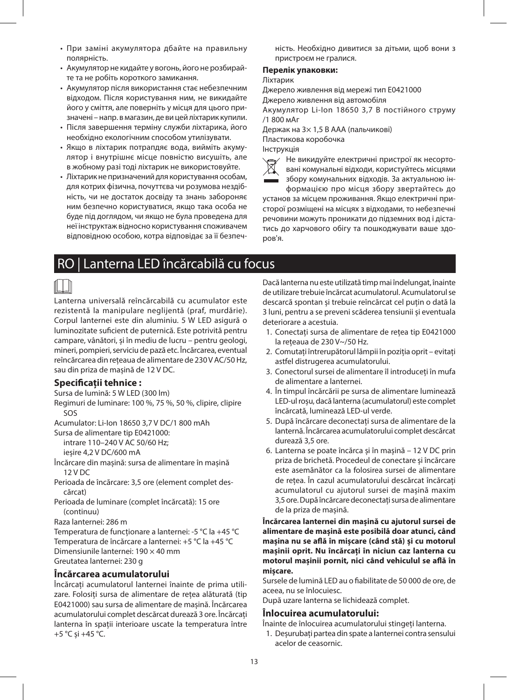- При заміні акумулятора дбайте на правильну полярність.
- Акумулятор не кидайте у вогонь, його не розбирайте та не робіть короткого замикання.
- Акумулятор після використання стає небезпечним відходом. Після користування ним, не викидайте його у сміття, але поверніть у місця для цього призначені – напр. в магазин, де ви цей ліхтарик купили.
- Після завершення терміну служби ліхтарика, його необхідно екологічним способом утилізувати.
- Якщо в ліхтарик потрапдяє вода, вийміть акумулятор і внутрішнє місце повністю висушіть, але в жобному разі тоді ліхтарик не використовуйте.
- Ліхтарик не призначений для користування особам, для котрих фізична, почуттєва чи розумова нездібність, чи не достаток досвіду та знань забороняє ним безпечно користуватися, якщо така особа не буде під доглядом, чи якщо не була проведена для неї інструктаж відносно користування споживачем відповідною особою, котра відповідає за її безпеч-

ність. Необхідно дивитися за дітьми, щоб вони з пристроєм не гралися.

### **Перелік упаковки:**

#### Ліхтарик

Джерело живлення від мережі тип E0421000

Джерело живлення від автомобіля

Акумулятор Li-Ion 18650 3,7 В постійного струму /1 800 мАг

Держак на 3× 1,5 В AAA (пальчикові)

Пластикова коробочка

Інструкція

Не викидуйте електричні пристрої як несорто-

вані комунальні відходи, користуйтесь місцями збору комунальних відходів. За актуальною ін-

формацією про місця збору звертайтесь до установ за місцем проживання. Якщо електричні присторої розміщені на місцях з відходами, то небезпечні речовини можуть проникати до підземних вод і дістатись до харчового обігу та пошкоджувати ваше здоров'я.

### | Lanterna LED încărcabilă cu focus

Lanterna universală reîncărcabilă cu acumulator este rezistentă la manipulare neglijentă (praf, murdărie). Corpul lanternei este din aluminiu. 5 W LED asigură o luminozitate suficient de puternică. Este potrivită pentru campare, vânători, și în mediu de lucru – pentru geologi, mineri, pompieri, serviciu de pază etc. Încărcarea, eventual reîncărcarea din rețeaua de alimentare de 230 V AC/50 Hz, sau din priza de mașină de 12 V DC.

### **Specificații tehnice :**

Sursa de lumină: 5 W LED (300 lm)

- Regimuri de luminare: 100 %, 75 %, 50 %, clipire, clipire SOS
- Acumulator: Li-Ion 18650 3,7 V DC/1 800 mAh

Sursa de alimentare tip E0421000:

intrare 110–240 V AC 50/60 Hz;

ieșire 4,2 V DC/600 mA

Încărcare din mașină: sursa de alimentare în mașină 12 V DC

Perioada de încărcare: 3,5 ore (element complet descărcat)

Perioada de luminare (complet încărcată): 15 ore (continuu)

Raza lanternei: 286 m

Temperatura de funcționare a lanternei: -5 °C la +45 °C Temperatura de încărcare a lanternei: +5 °C la +45 °C Dimensiunile lanternei: 190 × 40 mm Greutatea lanternei: 230 g

### **Încărcarea acumulatorului**

Încărcați acumulatorul lanternei înainte de prima utilizare. Folosiți sursa de alimentare de rețea alăturată (tip E0421000) sau sursa de alimentare de mașină. Încărcarea acumulatorului complet descărcat durează 3 ore. Încărcați lanterna în spații interioare uscate la temperatura între +5 °C și +45 °C.

Dacă lanterna nu este utilizată timp mai îndelungat, înainte de utilizare trebuie încărcat acumulatorul. Acumulatorul se descarcă spontan și trebuie reîncărcat cel puțin o dată la 3 luni, pentru a se preveni scăderea tensiunii și eventuala deteriorare a acestuia.

- 1. Conectați sursa de alimentare de rețea tip E0421000 la rețeaua de 230 V~/50 Hz.
- 2. Comutați întrerupătorul lămpii în poziția oprit evitați astfel distrugerea acumulatorului.
- 3. Conectorul sursei de alimentare îl introduceți în mufa de alimentare a lanternei.
- 4. În timpul încărcării pe sursa de alimentare luminează LED-ul roșu, dacă lanterna (acumulatorul) este complet încărcată, luminează LED-ul verde.
- 5. După încărcare deconectați sursa de alimentare de la lanternă. Încărcarea acumulatorului complet descărcat durează 3,5 ore.
- 6. Lanterna se poate încărca și în mașină 12 V DC prin priza de brichetă. Procedeul de conectare și încărcare este asemănător ca la folosirea sursei de alimentare de rețea. În cazul acumulatorului descărcat încărcați acumulatorul cu ajutorul sursei de mașină maxim 3,5 ore. După încărcare deconectați sursa de alimentare de la priza de mașină.

**Încărcarea lanternei din mașină cu ajutorul sursei de alimentare de mașină este posibilă doar atunci, când mașina nu se află în mișcare (când stă) și cu motorul mașinii oprit. Nu încărcați în niciun caz lanterna cu motorul mașinii pornit, nici când vehiculul se află în mișcare.** 

Sursele de lumină LED au o fiabilitate de 50 000 de ore, de aceea, nu se înlocuiesc.

După uzare lanterna se lichidează complet.

### **Înlocuirea acumulatorului:**

- Înainte de înlocuirea acumulatorului stingeți lanterna.
- 1. Deșurubați partea din spate a lanternei contra sensului acelor de ceasornic.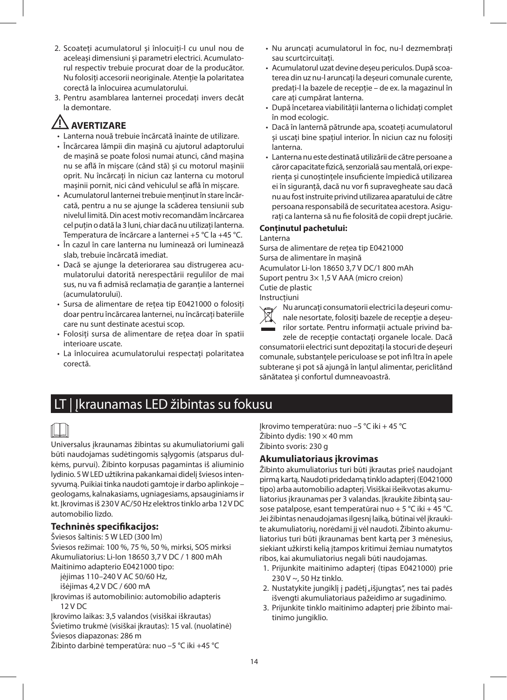- 2. Scoateți acumulatorul și înlocuiți-l cu unul nou de aceleași dimensiuni și parametri electrici. Acumulatorul respectiv trebuie procurat doar de la producător. Nu folosiți accesorii neoriginale. Atenție la polaritatea corectă la înlocuirea acumulatorului.
- 3. Pentru asamblarea lanternei procedați invers decât la demontare.

#### /I\  **AVERTIZARE**

- Lanterna nouă trebuie încărcată înainte de utilizare.
- Încărcarea lămpii din mașină cu ajutorul adaptorului de mașină se poate folosi numai atunci, când mașina nu se află în mișcare (când stă) și cu motorul mașinii oprit. Nu încărcați în niciun caz lanterna cu motorul mașinii pornit, nici când vehiculul se află în mișcare.
- Acumulatorul lanternei trebuie menținut în stare încărcată, pentru a nu se ajunge la scăderea tensiunii sub nivelul limită. Din acest motiv recomandăm încărcarea cel puțin o dată la 3 luni, chiar dacă nu utilizați lanterna. Temperatura de încărcare a lanternei +5 °C la +45 °C.
- În cazul în care lanterna nu luminează ori luminează slab, trebuie încărcată imediat.
- Dacă se ajunge la deteriorarea sau distrugerea acumulatorului datorită nerespectării regulilor de mai sus, nu va fi admisă reclamația de garanție a lanternei (acumulatorului).
- Sursa de alimentare de rețea tip E0421000 o folosiți doar pentru încărcarea lanternei, nu încărcați bateriile care nu sunt destinate acestui scop.
- Folosiți sursa de alimentare de rețea doar în spatii interioare uscate.
- La înlocuirea acumulatorului respectați polaritatea corectă.
- Nu aruncați acumulatorul în foc, nu-l dezmembrați sau scurtcircuitați.
- Acumulatorul uzat devine deșeu periculos. După scoaterea din uz nu-l aruncați la deșeuri comunale curente, predați-l la bazele de recepție – de ex. la magazinul în care ați cumpărat lanterna.
- După încetarea viabilității lanterna o lichidați complet în mod ecologic.
- Dacă în lanternă pătrunde apa, scoateți acumulatorul și uscați bine spațiul interior. În niciun caz nu folosiți lanterna.
- Lanterna nu este destinată utilizării de către persoane a căror capacitate fizică, senzorială sau mentală, ori experiența și cunoștințele insuficiente împiedică utilizarea ei în siguranță, dacă nu vor fi supravegheate sau dacă nu au fost instruite privind utilizarea aparatului de către persoana responsabilă de securitatea acestora. Asigurați ca lanterna să nu fie folosită de copii drept jucărie.

### **Conținutul pachetului:**

### Lanterna

Sursa de alimentare de rețea tip E0421000 Sursa de alimentare în mașină Acumulator Li-Ion 18650 3,7 V DC/1 800 mAh Suport pentru 3× 1,5 V AAA (micro creion) Cutie de plastic

Instrucțiuni

Nu aruncaţi consumatorii electrici la deșeuri comu-



nale nesortate, folosiţi bazele de recepţie a deșeurilor sortate. Pentru informaţii actuale privind ba-

zele de recepţie contactaţi organele locale. Dacă consumatorii electrici sunt depozitaţi la stocuri de deșeuri comunale, substanţele periculoase se pot infi ltra în apele subterane și pot să ajungă în lanțul alimentar, periclitând sănătatea și confortul dumneavoastră.

## Hkraunamas LED žibintas su fokusu

Universalus įkraunamas žibintas su akumuliatoriumi gali būti naudojamas sudėtingomis sąlygomis (atsparus dulkėms, purvui). Žibinto korpusas pagamintas iš aliuminio lydinio. 5 W LED užtikrina pakankamai didelį šviesos intensyvumą. Puikiai tinka naudoti gamtoje ir darbo aplinkoje – geologams, kalnakasiams, ugniagesiams, apsauginiams ir kt. Įkrovimas iš 230 V AC/50 Hz elektros tinklo arba 12 V DC automobilio lizdo.

### **Techninės specifikacijos:**

Šviesos šaltinis: 5 W LED (300 lm) Šviesos režimai: 100 %, 75 %, 50 %, mirksi, SOS mirksi Akumuliatorius: Li-Ion 18650 3,7 V DC / 1 800 mAh Maitinimo adapterio E0421000 tipo: įėjimas 110–240 V AC 50/60 Hz,

- išėjimas 4,2 V DC / 600 mA
- Įkrovimas iš automobilinio: automobilio adapteris 12 V DC

Įkrovimo laikas: 3,5 valandos (visiškai iškrautas) Švietimo trukmė (visiškai įkrautas): 15 val. (nuolatinė) Šviesos diapazonas: 286 m Žibinto darbinė temperatūra: nuo –5 °C iki +45 °C

Įkrovimo temperatūra: nuo –5 °C iki + 45 °C Žibinto dydis: 190 × 40 mm Žibinto svoris: 230 g

### **Akumuliatoriaus įkrovimas**

Žibinto akumuliatorius turi būti įkrautas prieš naudojant pirmą kartą. Naudoti pridedamą tinklo adapterį (E0421000 tipo) arba automobilio adapterį. Visiškai išeikvotas akumuliatorius įkraunamas per 3 valandas. Įkraukite žibintą sausose patalpose, esant temperatūrai nuo + 5 °C iki + 45 °C. Jei žibintas nenaudojamas ilgesnį laiką, būtinai vėl įkraukite akumuliatorių, norėdami jį vėl naudoti. Žibinto akumuliatorius turi būti įkraunamas bent kartą per 3 mėnesius, siekiant užkirsti kelią įtampos kritimui žemiau numatytos ribos, kai akumuliatorius negali būti naudojamas.

- 1. Prijunkite maitinimo adapterį (tipas E0421000) prie 230 V ~, 50 Hz tinklo.
- 2. Nustatykite jungiklį į padėtį "išjungtas", nes tai padės išvengti akumuliatoriaus pažeidimo ar sugadinimo.
- 3. Prijunkite tinklo maitinimo adapterį prie žibinto maitinimo jungiklio.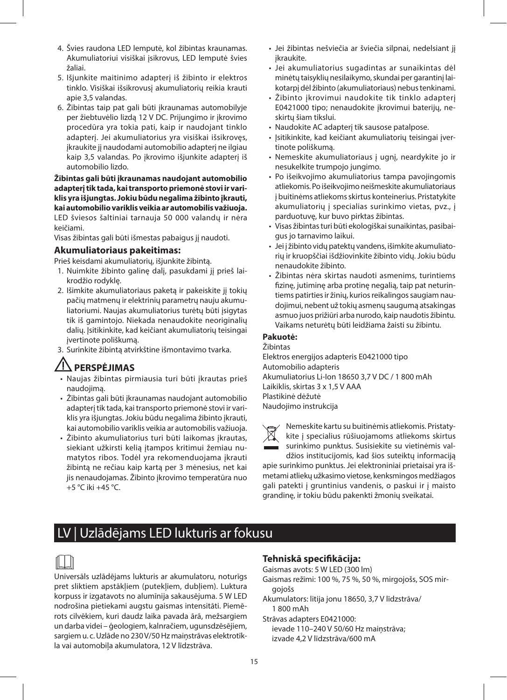- 4. Švies raudona LED lemputė, kol žibintas kraunamas. Akumuliatoriui visiškai įsikrovus, LED lemputė švies žaliai.
- 5. Išjunkite maitinimo adapterį iš žibinto ir elektros tinklo. Visiškai išsikrovusį akumuliatorių reikia krauti apie 3,5 valandas.
- 6. Žibintas taip pat gali būti įkraunamas automobilyje per žiebtuvėlio lizdą 12 V DC. Prijungimo ir įkrovimo procedūra yra tokia pati, kaip ir naudojant tinklo adapterį. Jei akumuliatorius yra visiškai išsikrovęs, įkraukite jį naudodami automobilio adapterį ne ilgiau kaip 3,5 valandas. Po įkrovimo išjunkite adapterį iš automobilio lizdo.

**Žibintas gali būti įkraunamas naudojant automobilio adapterį tik tada, kai transporto priemonė stovi ir variklis yra išjungtas. Jokiu būdu negalima žibinto įkrauti, kai automobilio variklis veikia ar automobilis važiuoja.** LED šviesos šaltiniai tarnauja 50 000 valandų ir nėra keičiami.

Visas žibintas gali būti išmestas pabaigus jį naudoti.

#### **Akumuliatoriaus pakeitimas:**

Prieš keisdami akumuliatorių, išjunkite žibintą.

- 1. Nuimkite žibinto galinę dalį, pasukdami jį prieš laikrodžio rodyklę.
- 2. Išimkite akumuliatoriaus paketą ir pakeiskite jį tokių pačių matmenų ir elektrinių parametrų nauju akumuliatoriumi. Naujas akumuliatorius turėtų būti įsigytas tik iš gamintojo. Niekada nenaudokite neoriginalių dalių. Įsitikinkite, kad keičiant akumuliatorių teisingai įvertinote poliškumą.
- 3. Surinkite žibintą atvirkštine išmontavimo tvarka.

### **PERSPĖJIMAS**

- Naujas žibintas pirmiausia turi būti įkrautas prieš naudojimą.
- Žibintas gali būti įkraunamas naudojant automobilio adapterį tik tada, kai transporto priemonė stovi ir variklis yra išjungtas. Jokiu būdu negalima žibinto įkrauti, kai automobilio variklis veikia ar automobilis važiuoja.
- Žibinto akumuliatorius turi būti laikomas įkrautas, siekiant užkirsti kelią įtampos kritimui žemiau numatytos ribos. Todėl yra rekomenduojama įkrauti žibintą ne rečiau kaip kartą per 3 mėnesius, net kai jis nenaudojamas. Žibinto įkrovimo temperatūra nuo +5 °C iki +45 °C.
- Jei žibintas nešviečia ar šviečia silpnai, nedelsiant jį įkraukite.
- Jei akumuliatorius sugadintas ar sunaikintas dėl minėtų taisyklių nesilaikymo, skundai per garantinį laikotarpį dėl žibinto (akumuliatoriaus) nebus tenkinami.
- Žibinto įkrovimui naudokite tik tinklo adapterį E0421000 tipo; nenaudokite įkrovimui baterijų, neskirtų šiam tikslui.
- Naudokite AC adapterį tik sausose patalpose.
- Įsitikinkite, kad keičiant akumuliatorių teisingai įvertinote poliškumą.
- Nemeskite akumuliatoriaus į ugnį, neardykite jo ir nesukelkite trumpojo jungimo.
- Po išeikvojimo akumuliatorius tampa pavojingomis atliekomis. Po išeikvojimo neišmeskite akumuliatoriaus į buitinėms atliekoms skirtus konteinerius. Pristatykite akumuliatorių į specialias surinkimo vietas, pvz., į parduotuvę, kur buvo pirktas žibintas.
- Visas žibintas turi būti ekologiškai sunaikintas, pasibaigus jo tarnavimo laikui.
- Jei į žibinto vidų patektų vandens, išimkite akumuliatorių ir kruopščiai išdžiovinkite žibinto vidų. Jokiu būdu nenaudokite žibinto.
- Žibintas nėra skirtas naudoti asmenims, turintiems fizinę, jutiminę arba protinę negalią, taip pat neturintiems patirties ir žinių, kurios reikalingos saugiam naudojimui, nebent už tokių asmenų saugumą atsakingas asmuo juos prižiūri arba nurodo, kaip naudotis žibintu. Vaikams neturėtų būti leidžiama žaisti su žibintu.

### **Pakuotė:**

#### Žibintas

Elektros energijos adapteris E0421000 tipo Automobilio adapteris Akumuliatorius Li-Ion 18650 3,7 V DC / 1 800 mAh Laikiklis, skirtas 3 x 1,5 V AAA Plastikinė dėžutė Naudojimo instrukcija

Nemeskite kartu su buitinėmis atliekomis. Pristatykite į specialius rūšiuojamoms atliekoms skirtus

surinkimo punktus. Susisiekite su vietinėmis val-

džios institucijomis, kad šios suteiktų informaciją apie surinkimo punktus. Jei elektroniniai prietaisai yra išmetami atliekų užkasimo vietose, kenksmingos medžiagos gali patekti į gruntinius vandenis, o paskui ir į maisto grandinę, ir tokiu būdu pakenkti žmonių sveikatai.

### LV | Uzlādējams LED lukturis ar fokusu

Universāls uzlādējams lukturis ar akumulatoru, noturīgs pret sliktiem apstākļiem (putekļiem, dubļiem). Luktura korpuss ir izgatavots no alumīnija sakausējuma. 5 W LED nodrošina pietiekami augstu gaismas intensitāti. Piemērots cilvēkiem, kuri daudz laika pavada ārā, mežsargiem un darba videi – ģeologiem, kalnračiem, ugunsdzēsējiem, sargiem u. c. Uzlāde no 230 V/50 Hz maiņstrāvas elektrotīkla vai automobila akumulatora, 12 V līdzstrāva.

### **Tehniskā specifikācija:**

Gaismas avots: 5 W LED (300 lm) Gaismas režīmi: 100 %, 75 %, 50 %, mirgojošs, SOS mirgojošs

- Akumulators: litija jonu 18650, 3,7 V līdzstrāva/ 1 800 mAh
- Strāvas adapters E0421000: ievade 110–240 V 50/60 Hz maiņstrāva; izvade 4,2 V līdzstrāva/600 mA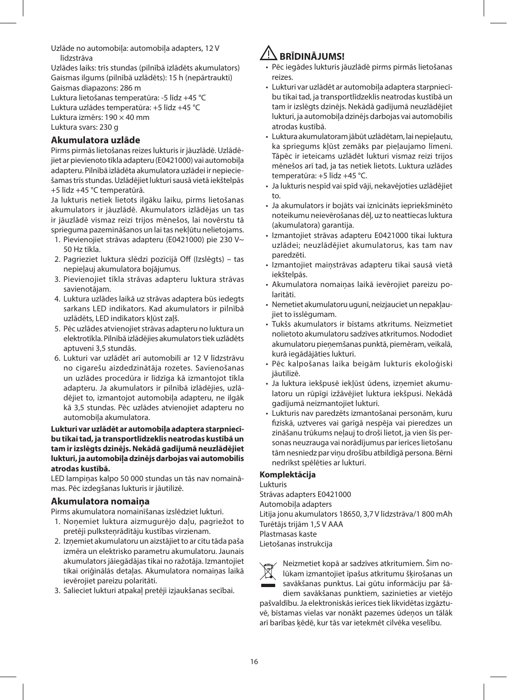Uzlāde no automobiļa: automobiļa adapters, 12 V līdzstrāva

Uzlādes laiks: trīs stundas (pilnībā izlādēts akumulators) Gaismas ilgums (pilnībā uzlādēts): 15 h (nepārtraukti) Gaismas diapazons: 286 m

Luktura lietošanas temperatūra: -5 līdz +45 °C Luktura uzlādes temperatūra: +5 līdz +45 °C Luktura izmērs: 190 × 40 mm Luktura svars: 230 g

### **Akumulatora uzlāde**

Pirms pirmās lietošanas reizes lukturis ir jāuzlādē. Uzlādējiet ar pievienoto tīkla adapteru (E0421000) vai automobiļa adapteru. Pilnībā izlādēta akumulatora uzlādei ir nepieciešamas trīs stundas. Uzlādējiet lukturi sausā vietā iekštelpās +5 līdz +45 °C temperatūrā.

Ja lukturis netiek lietots ilgāku laiku, pirms lietošanas akumulators ir jāuzlādē. Akumulators izlādējas un tas ir jāuzlādē vismaz reizi trijos mēnešos, lai novērstu tā sprieguma pazemināšanos un lai tas nekļūtu nelietojams.

- 1. Pievienojiet strāvas adapteru (E0421000) pie 230 V~ 50 Hz tīkla.
- 2. Pagrieziet luktura slēdzi pozīcijā Off (Izslēgts) tas nepieļauj akumulatora bojājumus.
- 3. Pievienojiet tīkla strāvas adapteru luktura strāvas savienotājam.
- 4. Luktura uzlādes laikā uz strāvas adaptera būs iedegts sarkans LED indikators. Kad akumulators ir pilnībā uzlādēts, LED indikators kļūst zaļš.
- 5. Pēc uzlādes atvienojiet strāvas adapteru no luktura un elektrotīkla. Pilnībā izlādējies akumulators tiek uzlādēts aptuveni 3,5 stundās.
- 6. Lukturi var uzlādēt arī automobilī ar 12 V līdzstrāvu no cigarešu aizdedzinātāja rozetes. Savienošanas un uzlādes procedūra ir līdzīga kā izmantojot tīkla adapteru. Ja akumulators ir pilnībā izlādējies, uzlādējiet to, izmantojot automobiļa adapteru, ne ilgāk kā 3,5 stundas. Pēc uzlādes atvienojiet adapteru no automobila akumulatora.

### **Lukturi var uzlādēt ar automobiļa adaptera starpniecību tikai tad, ja transportlīdzeklis neatrodas kustībā un tam ir izslēgts dzinējs. Nekādā gadījumā neuzlādējiet lukturi, ja automobiļa dzinējs darbojas vai automobilis atrodas kustībā.**

LED lampiņas kalpo 50 000 stundas un tās nav nomaināmas. Pēc izdegšanas lukturis ir jāutilizē.

### **Akumulatora nomaiņa**

Pirms akumulatora nomainīšanas izslēdziet lukturi.

- 1. Noņemiet luktura aizmugurējo daļu, pagriežot to pretēji pulksteņrādītāju kustības virzienam.
- 2. Izņemiet akumulatoru un aizstājiet to ar citu tāda paša izmēra un elektrisko parametru akumulatoru. Jaunais akumulators jāiegādājas tikai no ražotāja. Izmantojiet tikai oriģinālās detaļas. Akumulatora nomaiņas laikā ievērojiet pareizu polaritāti.
- 3. Salieciet lukturi atpakaļ pretēji izjaukšanas secībai.

### **BRĪDINĀJUMS!**

- Pēc iegādes lukturis jāuzlādē pirms pirmās lietošanas reizes.
- Lukturi var uzlādēt ar automobiļa adaptera starpniecību tikai tad, ja transportlīdzeklis neatrodas kustībā un tam ir izslēgts dzinējs. Nekādā gadījumā neuzlādējiet lukturi, ja automobiļa dzinējs darbojas vai automobilis atrodas kustībā.
- Luktura akumulatoram jābūt uzlādētam, lai nepieļautu, ka spriegums kļūst zemāks par pieļaujamo līmeni. Tāpēc ir ieteicams uzlādēt lukturi vismaz reizi trijos mēnešos arī tad, ja tas netiek lietots. Luktura uzlādes temperatūra: +5 līdz +45 °C.
- Ja lukturis nespīd vai spīd vāji, nekavējoties uzlādējiet to.
- Ja akumulators ir bojāts vai iznīcināts iepriekšminēto noteikumu neievērošanas dēļ, uz to neattiecas luktura (akumulatora) garantija.
- Izmantojiet strāvas adapteru E0421000 tikai luktura uzlādei; neuzlādējiet akumulatorus, kas tam nav paredzēti.
- Izmantojiet maiņstrāvas adapteru tikai sausā vietā iekštelpās.
- Akumulatora nomaiņas laikā ievērojiet pareizu polaritāti.
- Nemetiet akumulatoru ugunī, neizjauciet un nepakļaujiet to īsslēgumam.
- Tukšs akumulators ir bīstams atkritums. Neizmetiet nolietoto akumulatoru sadzīves atkritumos. Nododiet akumulatoru pieņemšanas punktā, piemēram, veikalā, kurā iegādājāties lukturi.
- Pēc kalpošanas laika beigām lukturis ekoloģiski jāutilizē.
- Ja luktura iekšpusē iekļūst ūdens, izņemiet akumulatoru un rūpīgi izžāvējiet luktura iekšpusi. Nekādā gadījumā neizmantojiet lukturi.
- Lukturis nav paredzēts izmantošanai personām, kuru fiziskā, uztveres vai garīgā nespēja vai pieredzes un zināšanu trūkums neļauj to droši lietot, ja vien šīs personas neuzrauga vai norādījumus par ierīces lietošanu tām nesniedz par viņu drošību atbildīgā persona. Bērni nedrīkst spēlēties ar lukturi.

### **Komplektācija**

Lukturis Strāvas adapters E0421000 Automobiļa adapters Litija jonu akumulators 18650, 3,7 V līdzstrāva/1 800 mAh Turētājs trijām 1,5 V AAA Plastmasas kaste Lietošanas instrukcija

Neizmetiet kopā ar sadzīves atkritumiem. Šim nolūkam izmantojiet īpašus atkritumu šķirošanas un savākšanas punktus. Lai gūtu informāciju par šādiem savākšanas punktiem, sazinieties ar vietējo

pašvaldību. Ja elektroniskās ierīces tiek likvidētas izgāztuvē, bīstamas vielas var nonākt pazemes ūdeņos un tālāk arī barības ķēdē, kur tās var ietekmēt cilvēka veselību.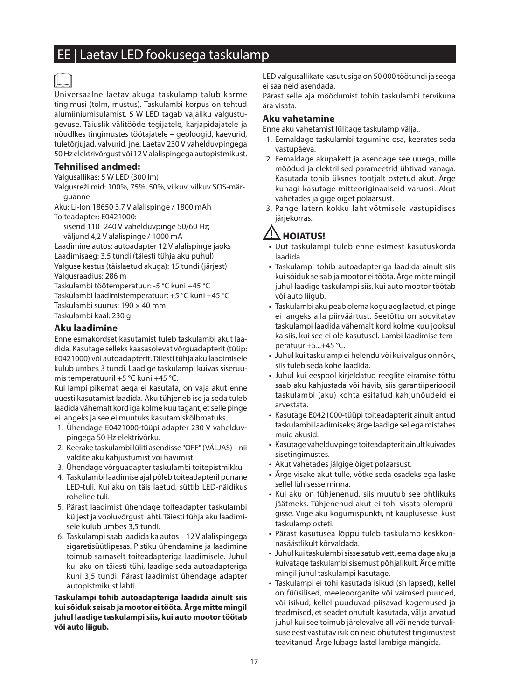### Laetav LED fookusega taskulamp

Universaalne laetav akuga taskulamp talub karme tingimusi (tolm, mustus). Taskulambi korpus on tehtud alumiiniumisulamist. 5 W LED tagab vajaliku valgustugevuse. Täiuslik välitööde tegijatele, karjapidajatele ja nõudlkes tingimustes töötajatele – geoloogid, kaevurid, tuletõrjujad, valvurid, jne. Laetav 230 V vahelduvpingega 50 Hz elektrivõrgust või 12 V alalispingega autopistmikust.

### **Tehnilised andmed:**

Valgusallikas: 5 W LED (300 lm)

Valgusrežiimid: 100%, 75%, 50%, vilkuv, vilkuv SOS-märguanne

Aku: Li-Ion 18650 3,7 V alalispinge / 1800 mAh Toiteadapter: E0421000:

sisend 110–240 V vahelduvpinge 50/60 Hz; väljund 4,2 V alalispinge / 1000 mA

Laadimine autos: autoadapter 12 V alalispinge jaoks Laadimisaeg: 3,5 tundi (täiesti tühja aku puhul) Valguse kestus (täislaetud akuga): 15 tundi (järjest) Valgusraadius: 286 m

Taskulambi töötemperatuur: -5 °C kuni +45 °C Taskulambi laadimistemperatuur: +5 °C kuni +45 °C Taskulambi suurus: 190 × 40 mm Taskulambi kaal: 230 g

### **Aku laadimine**

Enne esmakordset kasutamist tuleb taskulambi akut laadida. Kasutage selleks kaasasolevat võrguadapterit (tüüp: E0421000) või autoadapterit. Täiesti tühja aku laadimisele kulub umbes 3 tundi. Laadige taskulampi kuivas siseruumis temperatuuril +5 °C kuni +45 °C.

Kui lampi pikemat aega ei kasutata, on vaja akut enne uuesti kasutamist laadida. Aku tühjeneb ise ja seda tuleb laadida vähemalt kord iga kolme kuu tagant, et selle pinge ei langeks ja see ei muutuks kasutamiskõlbmatuks.

- 1. Ühendage E0421000-tüüpi adapter 230 V vahelduvpingega 50 Hz elektrivõrku.
- 2. Keerake taskulambi lüliti asendisse "OFF" (VÄLJAS) nii väldite aku kahjustumist või hävimist.
- 3. Ühendage võrguadapter taskulambi toitepistmikku.
- 4. Taskulambi laadimise ajal põleb toiteadapteril punane LED-tuli. Kui aku on täis laetud, süttib LED-näidikus roheline tuli.
- 5. Pärast laadimist ühendage toiteadapter taskulambi küljest ja vooluvõrgust lahti. Täiesti tühja aku laadimisele kulub umbes 3,5 tundi.
- 6. Taskulampi saab laadida ka autos 12 V alalispingega sigaretisüütlipesas. Pistiku ühendamine ja laadimine toimub sarnaselt toiteadapteriga laadimisele. Juhul kui aku on täiesti tühi, laadige seda autoadapteriga kuni 3,5 tundi. Pärast laadimist ühendage adapter autopistmikust lahti.

**Taskulampi tohib autoadapteriga laadida ainult siis kui sõiduk seisab ja mootor ei tööta. Ärge mitte mingil juhul laadige taskulampi siis, kui auto mootor töötab või auto liigub.**

LED valgusallikate kasutusiga on 50 000 töötundi ja seega ei saa neid asendada.

Pärast selle aja möödumist tohib taskulambi tervikuna ära visata.

### **Aku vahetamine**

Enne aku vahetamist lülitage taskulamp välja..

- 1. Eemaldage taskulambi tagumine osa, keerates seda vastupäeva.
- 2. Eemaldage akupakett ja asendage see uuega, mille mõõdud ja elektrilised parameetrid ühtivad vanaga. Kasutada tohib üksnes tootjalt ostetud akut. Ärge kunagi kasutage mitteoriginaalseid varuosi. Akut vahetades jälgige õiget polaarsust.
- 3. Pange latern kokku lahtivõtmisele vastupidises järjekorras.

### **HOIATUS!**

- Uut taskulampi tuleb enne esimest kasutuskorda laadida.
- Taskulampi tohib autoadapteriga laadida ainult siis kui sõiduk seisab ja mootor ei tööta. Ärge mitte mingil juhul laadige taskulampi siis, kui auto mootor töötab või auto liigub.
- Taskulambi aku peab olema kogu aeg laetud, et pinge ei langeks alla piirväärtust. Seetõttu on soovitatav taskulampi laadida vähemalt kord kolme kuu jooksul ka siis, kui see ei ole kasutusel. Lambi laadimise temperatuur +5...+45 °C.
- Juhul kui taskulamp ei helendu või kui valgus on nõrk, siis tuleb seda kohe laadida.
- Juhul kui eespool kirjeldatud reeglite eiramise tõttu saab aku kahjustada või hävib, siis garantiiperioodil taskulambi (aku) kohta esitatud kahjunõudeid ei arvestata.
- Kasutage E0421000-tüüpi toiteadapterit ainult antud taskulambi laadimiseks; ärge laadige sellega mistahes muid akusid.
- Kasutage vahelduvpinge toiteadapterit ainult kuivades sisetingimustes.
- Akut vahetades jälgige õiget polaarsust.
- Ärge visake akut tulle, võtke seda osadeks ega laske sellel lühisesse minna.
- Kui aku on tühjenenud, siis muutub see ohtlikuks jäätmeks. Tühjenenud akut ei tohi visata olemprügisse. Viige aku kogumispunkti, nt kauplusesse, kust taskulamp osteti.
- Pärast kasutusea lõppu tuleb taskulamp keskkonnasäästlikult kõrvaldada.
- Juhul kui taskulambi sisse satub vett, eemaldage aku ja kuivatage taskulambi sisemust põhjalikult. Ärge mitte mingil juhul taskulampi kasutage.
- Taskulampi ei tohi kasutada isikud (sh lapsed), kellel on füüsilised, meeleoorganite või vaimsed puuded, või isikud, kellel puuduvad piisavad kogemused ja teadmised, et seadet ohutult kasutada, välja arvatud juhul kui see toimub järelevalve all või nende turvalisuse eest vastutav isik on neid ohututest tingimustest teavitanud. Ärge lubage lastel lambiga mängida.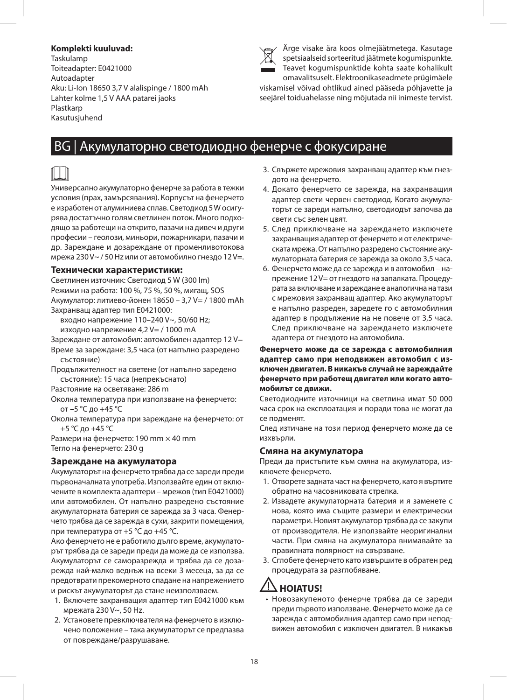### **Komplekti kuuluvad:**

Taskulamp Toiteadapter: E0421000 Autoadapter Aku: Li-Ion 18650 3,7 V alalispinge / 1800 mAh Lahter kolme 1,5 V AAA patarei jaoks Plastkarp Kasutusjuhend



Ärge visake ära koos olmejäätmetega. Kasutage spetsiaalseid sorteeritud jäätmete kogumispunkte. Teavet kogumispunktide kohta saate kohalikult

omavalitsuselt. Elektroonikaseadmete prügimäele viskamisel võivad ohtlikud ained pääseda põhjavette ja seejärel toiduahelasse ning mõjutada nii inimeste tervist.

### BG | Акумулаторно светодиодно фенерче с фокусиране



Универсално акумулаторно фенерче за работа в тежки условия (прах, замърсявания). Корпусът на фенерчето е изработен от алуминиева сплав. Светодиод 5 W осигурява достатъчно голям светлинен поток. Много подходящо за работещи на открито, пазачи на дивеч и други професии – геолози, миньори, пожарникари, пазачи и др. Зареждане и дозареждане от променливотокова мрежа 230 V~ / 50 Hz или от автомобилно гнездо 12 V=.

### **Технически характеристики:**

Светлинен източник: Светодиод 5 W (300 lm) Режими на работа: 100 %, 75 %, 50 %, мигащ, SOS Акумулатор: литиево-йонен 18650 – 3,7 V= / 1800 mAh Захранващ адаптер тип E0421000:

входно напрежение 110–240 V~, 50/60 Hz; изходно напрежение 4,2 V= / 1000 mA

Зареждане от автомобил: автомобилен адаптер 12 V=

Време за зареждане: 3,5 часа (от напълно разредено състояние)

Продължителност на светене (от напълно заредено състояние): 15 часа (непрекъснато)

Разстояние на осветяване: 286 m

Околна температура при използване на фенерчето: от –5 °C до +45 °C

Околна температура при зареждане на фенерчето: от +5 °C до +45 °C

Размери на фенерчето: 190 mm × 40 mm Тегло на фенерчето: 230 g

### **Зареждане на акумулатора**

Акумулаторът на фенерчето трябва да се зареди преди първоначалната употреба. Използвайте един от включените в комплекта адаптери – мрежов (тип E0421000) или автомобилен. От напълно разредено състояние акумулаторната батерия се зарежда за 3 часа. Фенерчето трябва да се зарежда в сухи, закрити помещения, при температура от +5 °C до +45 °C.

Ако фенерчето не е работило дълго време, акумулаторът трябва да се зареди преди да може да се използва. Акумулаторът се саморазрежда и трябва да се дозарежда най-малко веднъж на всеки 3 месеца, за да се предотврати прекомерното спадане на напрежението и рискът акумулаторът да стане неизползваем.

- 1. Включете захранващия адаптер тип E0421000 към мрежата 230 V~, 50 Hz.
- 2. Установете превключвателя на фенерчето в изключено положение – така акумулаторът се предпазва от повреждане/разрушаване.
- 3. Свържете мрежовия захранващ адаптер към гнездото на фенерчето.
- 4. Докато фенерчето се зарежда, на захранващия адаптер свети червен светодиод. Когато акумулаторът се зареди напълно, светодиодът започва да свети със зелен цвят.
- 5. След приключване на зареждането изключете захранващия адаптер от фенерчето и от електрическата мрежа. От напълно разредено състояние акумулаторната батерия се зарежда за около 3,5 часа.
- 6. Фенерчето може да се зарежда и в автомобил напрежение 12 V= от гнездото на запалката. Процедурата за включване и зареждане е аналогична на тази с мрежовия захранващ адаптер. Ако акумулаторът е напълно разреден, заредете го с автомобилния адаптер в продължение на не повече от 3,5 часа. След приключване на зареждането изключете адаптера от гнездото на автомобила.

**Фенерчето може да се зарежда с автомобилния адаптер само при неподвижен автомобил с изключен двигател. В никакъв случай не зареждайте фенерчето при работещ двигател или когато автомобилът се движи.**

Светодиодните източници на светлина имат 50 000 часа срок на експлоатация и поради това не могат да се подменят.

След изтичане на този период фенерчето може да се изхвърли.

#### **Смяна на акумулатора**

Преди да пристъпите към смяна на акумулатора, изключете фенерчето.

- 1. Отворете задната част на фенерчето, като я въртите обратно на часовниковата стрелка.
- 2. Извадете акумулаторната батерия и я заменете с нова, която има същите размери и електрически параметри. Новият акумулатор трябва да се закупи от производителя. Не използвайте неоригинални части. При смяна на акумулатора внимавайте за правилната полярност на свързване.
- 3. Сглобете фенерчето като извършите в обратен ред процедурата за разглобяване.

## **HOIATUS!**

• Новозакупеното фенерче трябва да се зареди преди първото използване. Фенерчето може да се зарежда с автомобилния адаптер само при неподвижен автомобил с изключен двигател. В никакъв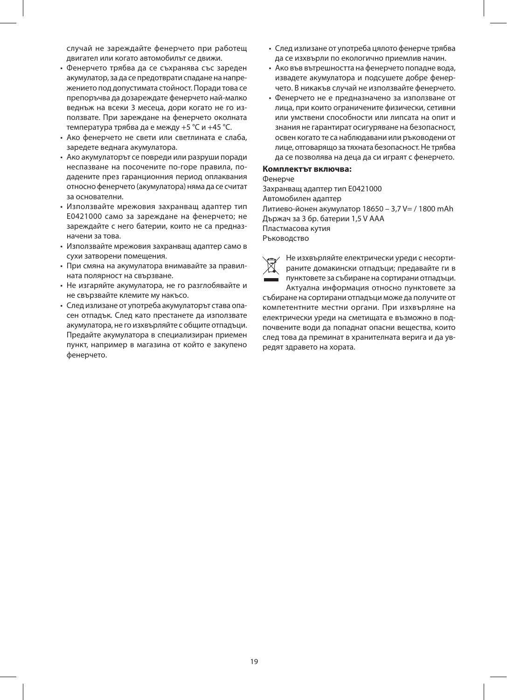случай не зареждайте фенерчето при работещ двигател или когато автомобилът се движи.

- Фенерчето трябва да се съхранява със зареден акумулатор, за да се предотврати спадане на напрежението под допустимата стойност. Поради това се препоръчва да дозареждате фенерчето най-малко веднъж на всеки 3 месеца, дори когато не го използвате. При зареждане на фенерчето околната температура трябва да е между +5 °C и +45 °C.
- Ако фенерчето не свети или светлината е слаба, заредете веднага акумулатора.
- Ако акумулаторът се повреди или разруши поради неспазване на посочените по-горе правила, подадените през гаранционния период оплаквания относно фенерчето (акумулатора) няма да се считат за основателни.
- Използвайте мрежовия захранващ адаптер тип E0421000 само за зареждане на фенерчето; не зареждайте с него батерии, които не са предназначени за това.
- Използвайте мрежовия захранващ адаптер само в сухи затворени помещения.
- При смяна на акумулатора внимавайте за правилната полярност на свързване.
- Не изгаряйте акумулатора, не го разглобявайте и не свързвайте клемите му накъсо.
- След излизане от употреба акумулаторът става опасен отпадък. След като престанете да използвате акумулатора, не го изхвърляйте с общите отпадъци. Предайте акумулатора в специализиран приемен пункт, например в магазина от който е закупено фенерчето.
- След излизане от употреба цялото фенерче трябва да се изхвърли по екологично приемлив начин.
- Ако във вътрешността на фенерчето попадне вода, извадете акумулатора и подсушете добре фенерчето. В никакъв случай не използвайте фенерчето.
- Фенерчето не е предназначено за използване от лица, при които ограничените физически, сетивни или умствени способности или липсата на опит и знания не гарантират осигуряване на безопасност, освен когато те са наблюдавани или ръководени от лице, отговарящо за тяхната безопасност. Не трябва да се позволява на деца да си играят с фенерчето.

### **Комплектът включва:**

Фенерче

Захранващ адаптер тип E0421000 Автомобилен адаптер Литиево-йонен акумулатор 18650 – 3,7 V= / 1800 mAh Държач за 3 бр. батерии 1,5 V AAA Пластмасова кутия Ръководство



Не изхвърляйте електрически уреди с несортираните домакински отпадъци; предавайте ги в пунктовете за събиране на сортирани отпадъци.

Актуална информация относно пунктовете за събиране на сортирани отпадъци може да получите от компетентните местни органи. При изхвърляне на електрически уреди на сметищата е възможно в подпочвените води да попаднат опасни вещества, които след това да преминат в хранителната верига и да увредят здравето на хората.